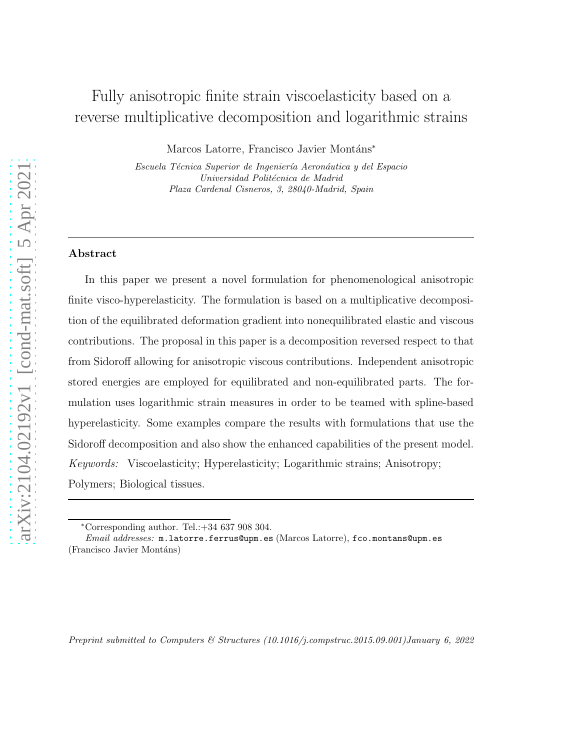# Fully anisotropic finite strain viscoelasticity based on a reverse multiplicative decomposition and logarithmic strains

Marcos Latorre, Francisco Javier Montáns<sup>∗</sup>

*Escuela T´ecnica Superior de Ingenier´ıa Aeron´autica y del Espacio Universidad Politécnica de Madrid Plaza Cardenal Cisneros, 3, 28040-Madrid, Spain*

### Abstract

In this paper we present a novel formulation for phenomenological anisotropic finite visco-hyperelasticity. The formulation is based on a multiplicative decomposition of the equilibrated deformation gradient into nonequilibrated elastic and viscous contributions. The proposal in this paper is a decomposition reversed respect to that from Sidoroff allowing for anisotropic viscous contributions. Independent anisotropic stored energies are employed for equilibrated and non-equilibrated parts. The formulation uses logarithmic strain measures in order to be teamed with spline-based hyperelasticity. Some examples compare the results with formulations that use the Sidoroff decomposition and also show the enhanced capabilities of the present model. *Keywords:* Viscoelasticity; Hyperelasticity; Logarithmic strains; Anisotropy; Polymers; Biological tissues.

<sup>∗</sup>Corresponding author. Tel.:+34 637 908 304.

*Email addresses:* m.latorre.ferrus@upm.es (Marcos Latorre), fco.montans@upm.es (Francisco Javier Montáns)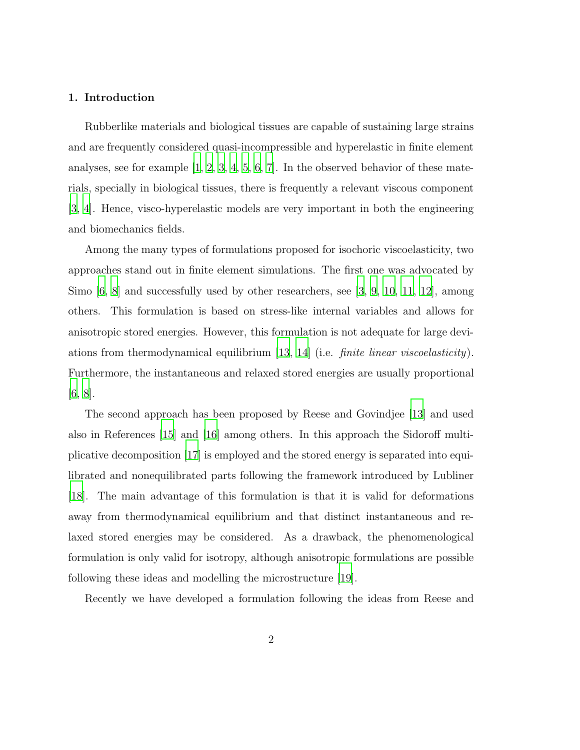## 1. Introduction

Rubberlike materials and biological tissues are capable of sustaining large strains and are frequently considered quasi-incompressible and hyperelastic in finite element analyses, see for example  $[1, 2, 3, 4, 5, 6, 7]$  $[1, 2, 3, 4, 5, 6, 7]$  $[1, 2, 3, 4, 5, 6, 7]$  $[1, 2, 3, 4, 5, 6, 7]$  $[1, 2, 3, 4, 5, 6, 7]$  $[1, 2, 3, 4, 5, 6, 7]$  $[1, 2, 3, 4, 5, 6, 7]$  $[1, 2, 3, 4, 5, 6, 7]$  $[1, 2, 3, 4, 5, 6, 7]$ . In the observed behavior of these materials, specially in biological tissues, there is frequently a relevant viscous component [\[3](#page-48-2), [4](#page-48-3)]. Hence, visco-hyperelastic models are very important in both the engineering and biomechanics fields.

Among the many types of formulations proposed for isochoric viscoelasticity, two approaches stand out in finite element simulations. The first one was advocated by Simo [\[6,](#page-48-5) [8](#page-48-7)] and successfully used by other researchers, see [\[3](#page-48-2), [9,](#page-48-8) [10](#page-48-9), [11](#page-49-0), [12\]](#page-49-1), among others. This formulation is based on stress-like internal variables and allows for anisotropic stored energies. However, this formulation is not adequate for large deviations from thermodynamical equilibrium [\[13,](#page-49-2) [14](#page-49-3)] (i.e. *finite linear viscoelasticity*). Furthermore, the instantaneous and relaxed stored energies are usually proportional  $[6, 8]$  $[6, 8]$  $[6, 8]$  $[6, 8]$ .

The second approach has been proposed by Reese and Govindjee [\[13\]](#page-49-2) and used also in References [\[15](#page-49-4)] and [\[16](#page-49-5)] among others. In this approach the Sidoroff multiplicative decomposition [\[17](#page-49-6)] is employed and the stored energy is separated into equilibrated and nonequilibrated parts following the framework introduced by Lubliner [\[18\]](#page-49-7). The main advantage of this formulation is that it is valid for deformations away from thermodynamical equilibrium and that distinct instantaneous and relaxed stored energies may be considered. As a drawback, the phenomenological formulation is only valid for isotropy, although anisotropic formulations are possible following these ideas and modelling the microstructure [\[19](#page-49-8)].

Recently we have developed a formulation following the ideas from Reese and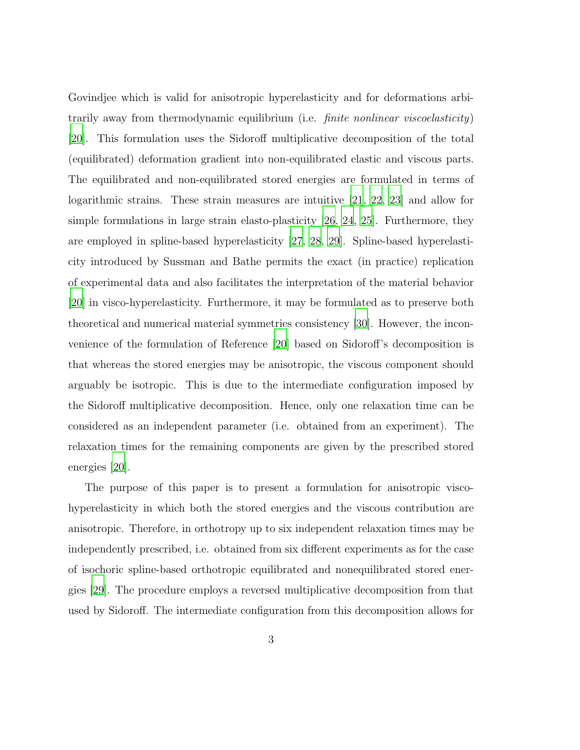Govindjee which is valid for anisotropic hyperelasticity and for deformations arbitrarily away from thermodynamic equilibrium (i.e. *finite nonlinear viscoelasticity*) [\[20\]](#page-50-0). This formulation uses the Sidoroff multiplicative decomposition of the total (equilibrated) deformation gradient into non-equilibrated elastic and viscous parts. The equilibrated and non-equilibrated stored energies are formulated in terms of logarithmic strains. These strain measures are intuitive [\[21,](#page-50-1) [22](#page-50-2), [23](#page-50-3)] and allow for simple formulations in large strain elasto-plasticity [\[26,](#page-50-4) [24](#page-50-5), [25\]](#page-50-6). Furthermore, they are employed in spline-based hyperelasticity [\[27,](#page-50-7) [28](#page-51-0), [29\]](#page-51-1). Spline-based hyperelasticity introduced by Sussman and Bathe permits the exact (in practice) replication of experimental data and also facilitates the interpretation of the material behavior [\[20\]](#page-50-0) in visco-hyperelasticity. Furthermore, it may be formulated as to preserve both theoretical and numerical material symmetries consistency [\[30\]](#page-51-2). However, the inconvenience of the formulation of Reference [\[20\]](#page-50-0) based on Sidoroff's decomposition is that whereas the stored energies may be anisotropic, the viscous component should arguably be isotropic. This is due to the intermediate configuration imposed by the Sidoroff multiplicative decomposition. Hence, only one relaxation time can be considered as an independent parameter (i.e. obtained from an experiment). The relaxation times for the remaining components are given by the prescribed stored energies [\[20](#page-50-0)].

The purpose of this paper is to present a formulation for anisotropic viscohyperelasticity in which both the stored energies and the viscous contribution are anisotropic. Therefore, in orthotropy up to six independent relaxation times may be independently prescribed, i.e. obtained from six different experiments as for the case of isochoric spline-based orthotropic equilibrated and nonequilibrated stored energies [\[29\]](#page-51-1). The procedure employs a reversed multiplicative decomposition from that used by Sidoroff. The intermediate configuration from this decomposition allows for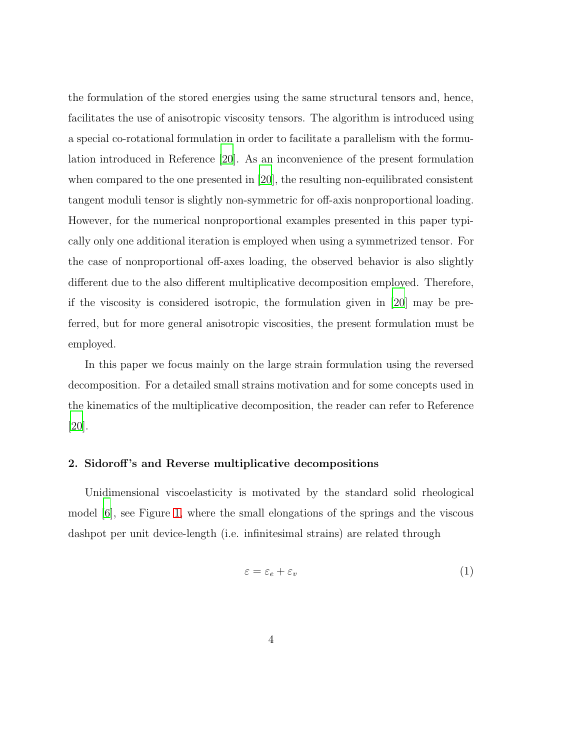the formulation of the stored energies using the same structural tensors and, hence, facilitates the use of anisotropic viscosity tensors. The algorithm is introduced using a special co-rotational formulation in order to facilitate a parallelism with the formulation introduced in Reference [\[20](#page-50-0)]. As an inconvenience of the present formulation when compared to the one presented in [\[20\]](#page-50-0), the resulting non-equilibrated consistent tangent moduli tensor is slightly non-symmetric for off-axis nonproportional loading. However, for the numerical nonproportional examples presented in this paper typically only one additional iteration is employed when using a symmetrized tensor. For the case of nonproportional off-axes loading, the observed behavior is also slightly different due to the also different multiplicative decomposition employed. Therefore, if the viscosity is considered isotropic, the formulation given in [\[20](#page-50-0)] may be preferred, but for more general anisotropic viscosities, the present formulation must be employed.

In this paper we focus mainly on the large strain formulation using the reversed decomposition. For a detailed small strains motivation and for some concepts used in the kinematics of the multiplicative decomposition, the reader can refer to Reference [\[20\]](#page-50-0).

### 2. Sidoroff 's and Reverse multiplicative decompositions

Unidimensional viscoelasticity is motivated by the standard solid rheological model [\[6](#page-48-5)], see Figure [1,](#page-5-0) where the small elongations of the springs and the viscous dashpot per unit device-length (i.e. infinitesimal strains) are related through

$$
\varepsilon = \varepsilon_e + \varepsilon_v \tag{1}
$$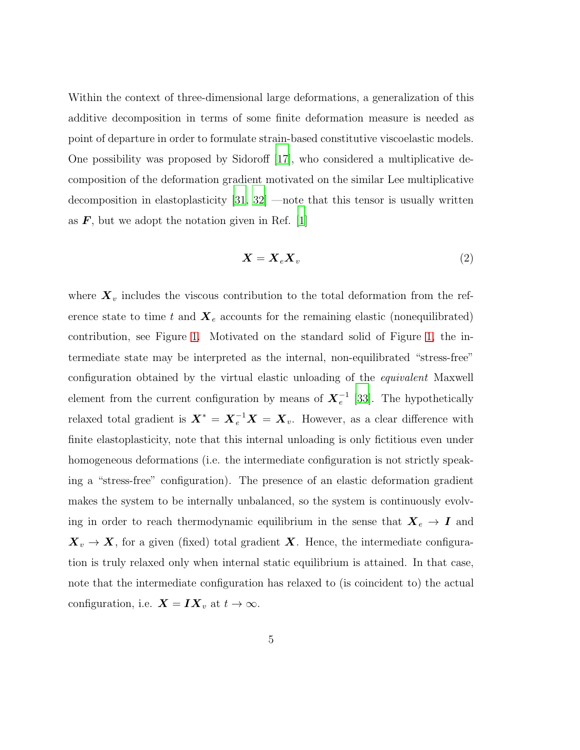Within the context of three-dimensional large deformations, a generalization of this additive decomposition in terms of some finite deformation measure is needed as point of departure in order to formulate strain-based constitutive viscoelastic models. One possibility was proposed by Sidoroff [\[17](#page-49-6)], who considered a multiplicative decomposition of the deformation gradient motivated on the similar Lee multiplicative decomposition in elastoplasticity [\[31,](#page-51-3) [32](#page-51-4)] —note that this tensor is usually written as  $\bm{F}$ , but we adopt the notation given in Ref. [\[1\]](#page-48-0)

<span id="page-4-0"></span>
$$
X = X_e X_v \tag{2}
$$

where  $\boldsymbol{X}_v$  includes the viscous contribution to the total deformation from the reference state to time t and  $\mathbf{X}_e$  accounts for the remaining elastic (nonequilibrated) contribution, see Figure [1.](#page-5-0) Motivated on the standard solid of Figure [1,](#page-5-0) the intermediate state may be interpreted as the internal, non-equilibrated "stress-free" configuration obtained by the virtual elastic unloading of the *equivalent* Maxwell element from the current configuration by means of  $\boldsymbol{X}^{-1}_e$  [\[33\]](#page-51-5). The hypothetically relaxed total gradient is  $\boldsymbol{X}^* = \boldsymbol{X}_e^{-1} \boldsymbol{X} = \boldsymbol{X}_v$ . However, as a clear difference with finite elastoplasticity, note that this internal unloading is only fictitious even under homogeneous deformations (i.e. the intermediate configuration is not strictly speaking a "stress-free" configuration). The presence of an elastic deformation gradient makes the system to be internally unbalanced, so the system is continuously evolving in order to reach thermodynamic equilibrium in the sense that  $X_e \rightarrow I$  and  $X_v \to X$ , for a given (fixed) total gradient X. Hence, the intermediate configuration is truly relaxed only when internal static equilibrium is attained. In that case, note that the intermediate configuration has relaxed to (is coincident to) the actual configuration, i.e.  $\mathbf{X} = \mathbf{I} \mathbf{X}_v$  at  $t \to \infty$ .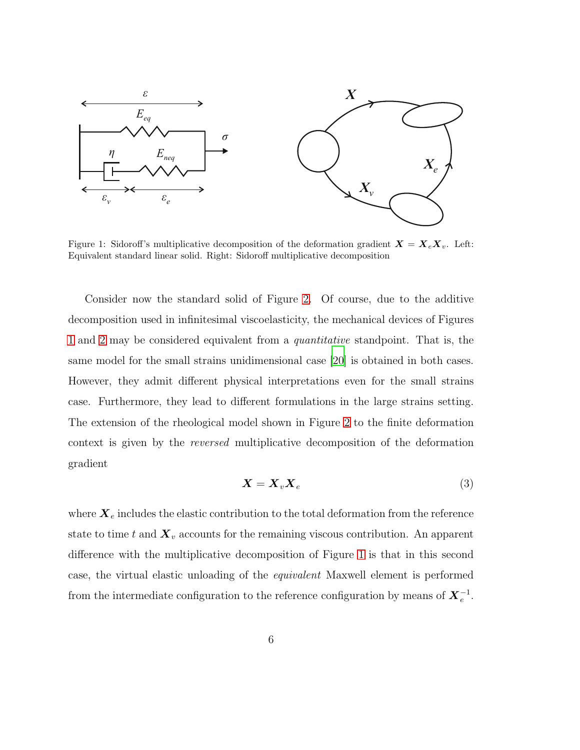

<span id="page-5-0"></span>Figure 1: Sidoroff's multiplicative decomposition of the deformation gradient  $X = X_e X_v$ . Left: Equivalent standard linear solid. Right: Sidoroff multiplicative decomposition

Consider now the standard solid of Figure [2.](#page-6-0) Of course, due to the additive decomposition used in infinitesimal viscoelasticity, the mechanical devices of Figures [1](#page-5-0) and [2](#page-6-0) may be considered equivalent from a *quantitative* standpoint. That is, the same model for the small strains unidimensional case [\[20](#page-50-0)] is obtained in both cases. However, they admit different physical interpretations even for the small strains case. Furthermore, they lead to different formulations in the large strains setting. The extension of the rheological model shown in Figure [2](#page-6-0) to the finite deformation context is given by the *reversed* multiplicative decomposition of the deformation gradient

$$
\boldsymbol{X} = \boldsymbol{X}_v \boldsymbol{X}_e \tag{3}
$$

<span id="page-5-1"></span>where  $\boldsymbol{X}_{e}$  includes the elastic contribution to the total deformation from the reference state to time t and  $\mathbf{X}_v$  accounts for the remaining viscous contribution. An apparent difference with the multiplicative decomposition of Figure [1](#page-5-0) is that in this second case, the virtual elastic unloading of the *equivalent* Maxwell element is performed from the intermediate configuration to the reference configuration by means of  $X_e^{-1}$ .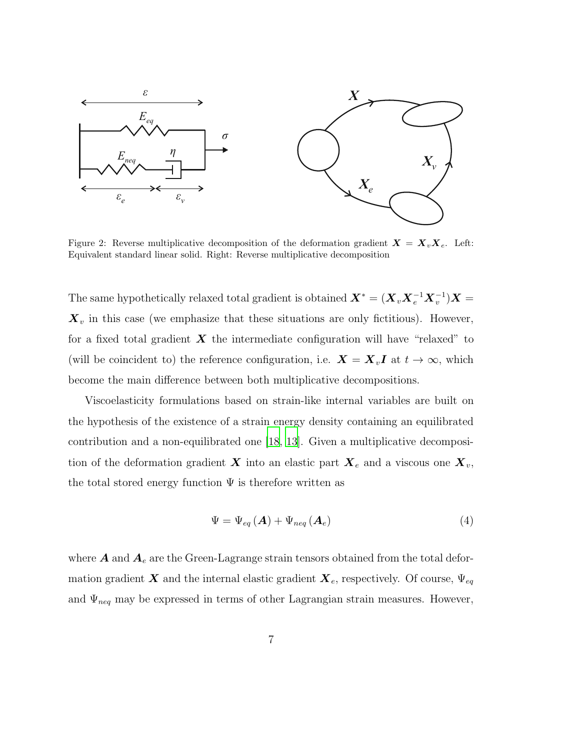

<span id="page-6-0"></span>Figure 2: Reverse multiplicative decomposition of the deformation gradient  $\mathbf{X} = \mathbf{X}_v \mathbf{X}_e$ . Left: Equivalent standard linear solid. Right: Reverse multiplicative decomposition

The same hypothetically relaxed total gradient is obtained  $\bm{X}^* = (\bm{X}_v \bm{X}_e^{-1} \bm{X}_v^{-1}) \bm{X} =$  $\mathbf{X}_v$  in this case (we emphasize that these situations are only fictitious). However, for a fixed total gradient  $\boldsymbol{X}$  the intermediate configuration will have "relaxed" to (will be coincident to) the reference configuration, i.e.  $\mathbf{X} = \mathbf{X}_v \mathbf{I}$  at  $t \to \infty$ , which become the main difference between both multiplicative decompositions.

Viscoelasticity formulations based on strain-like internal variables are built on the hypothesis of the existence of a strain energy density containing an equilibrated contribution and a non-equilibrated one [\[18](#page-49-7), [13](#page-49-2)]. Given a multiplicative decomposition of the deformation gradient X into an elastic part  $X_e$  and a viscous one  $X_v$ , the total stored energy function  $\Psi$  is therefore written as

<span id="page-6-1"></span>
$$
\Psi = \Psi_{eq} \left( \mathbf{A} \right) + \Psi_{neq} \left( \mathbf{A}_e \right) \tag{4}
$$

where  $A$  and  $A_e$  are the Green-Lagrange strain tensors obtained from the total deformation gradient X and the internal elastic gradient  $\mathbf{X}_e$ , respectively. Of course,  $\Psi_{eq}$ and  $\Psi_{neq}$  may be expressed in terms of other Lagrangian strain measures. However,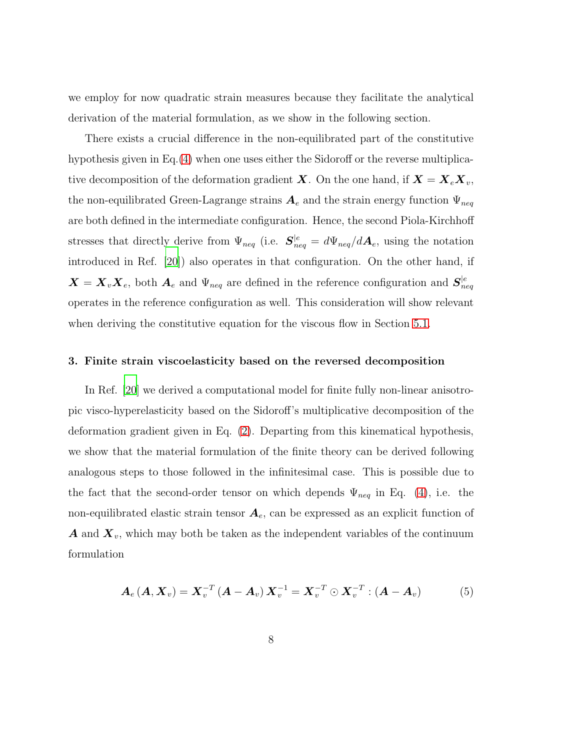we employ for now quadratic strain measures because they facilitate the analytical derivation of the material formulation, as we show in the following section.

There exists a crucial difference in the non-equilibrated part of the constitutive hypothesis given in Eq.[\(4\)](#page-6-1) when one uses either the Sidoroff or the reverse multiplicative decomposition of the deformation gradient **X**. On the one hand, if  $\mathbf{X} = \mathbf{X}_e \mathbf{X}_v$ , the non-equilibrated Green-Lagrange strains  $A_e$  and the strain energy function  $\Psi_{neq}$ are both defined in the intermediate configuration. Hence, the second Piola-Kirchhoff stresses that directly derive from  $\Psi_{neq}$  (i.e.  $S_{neq}^{|e|} = d\Psi_{neq}/d\mathbf{A}_e$ , using the notation introduced in Ref. [\[20\]](#page-50-0)) also operates in that configuration. On the other hand, if  $\bm{X} = \bm{X}_v \bm{X}_e$ , both  $\bm{A}_e$  and  $\Psi_{neq}$  are defined in the reference configuration and  $\bm{S}_{neq}^{|e}$ operates in the reference configuration as well. This consideration will show relevant when deriving the constitutive equation for the viscous flow in Section [5.1.](#page-16-0)

#### 3. Finite strain viscoelasticity based on the reversed decomposition

In Ref. [\[20](#page-50-0)] we derived a computational model for finite fully non-linear anisotropic visco-hyperelasticity based on the Sidoroff's multiplicative decomposition of the deformation gradient given in Eq. [\(2\)](#page-4-0). Departing from this kinematical hypothesis, we show that the material formulation of the finite theory can be derived following analogous steps to those followed in the infinitesimal case. This is possible due to the fact that the second-order tensor on which depends  $\Psi_{neq}$  in Eq. [\(4\)](#page-6-1), i.e. the non-equilibrated elastic strain tensor  $A_e$ , can be expressed as an explicit function of **A** and  $\mathbf{X}_v$ , which may both be taken as the independent variables of the continuum formulation

$$
A_e (A, X_v) = X_v^{-T} (A - A_v) X_v^{-1} = X_v^{-T} \odot X_v^{-T} : (A - A_v)
$$
 (5)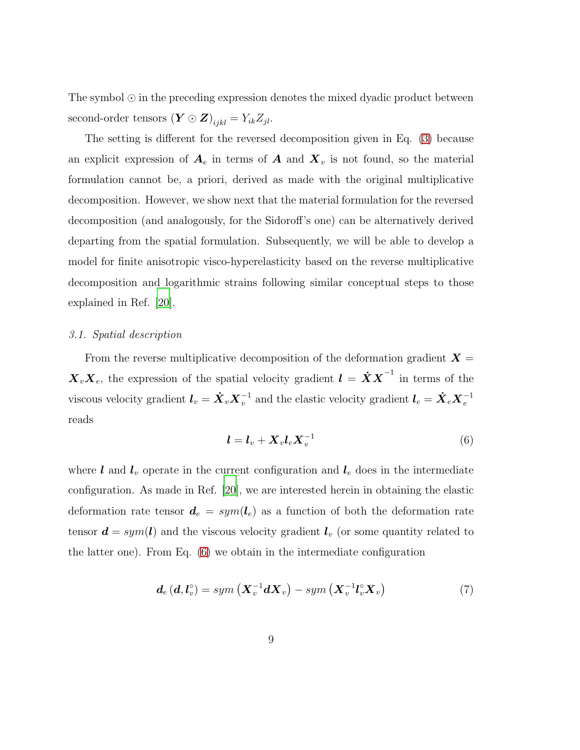The symbol ⊙ in the preceding expression denotes the mixed dyadic product between second-order tensors  $(\mathbf{Y} \odot \mathbf{Z})_{ijkl} = Y_{ik} Z_{jl}$ .

The setting is different for the reversed decomposition given in Eq. [\(3\)](#page-5-1) because an explicit expression of  $A_e$  in terms of  $A$  and  $X_v$  is not found, so the material formulation cannot be, a priori, derived as made with the original multiplicative decomposition. However, we show next that the material formulation for the reversed decomposition (and analogously, for the Sidoroff's one) can be alternatively derived departing from the spatial formulation. Subsequently, we will be able to develop a model for finite anisotropic visco-hyperelasticity based on the reverse multiplicative decomposition and logarithmic strains following similar conceptual steps to those explained in Ref. [\[20\]](#page-50-0).

## *3.1. Spatial description*

<span id="page-8-0"></span>From the reverse multiplicative decomposition of the deformation gradient  $\boldsymbol{X} =$  $\boldsymbol{X}_{v}\boldsymbol{X}_{e}$ , the expression of the spatial velocity gradient  $\boldsymbol{l} = \boldsymbol{X}\boldsymbol{X}^{-1}$  in terms of the viscous velocity gradient  $l_v = \dot{X}_v X_v^{-1}$  and the elastic velocity gradient  $l_e = \dot{X}_e X_e^{-1}$ reads

<span id="page-8-1"></span>
$$
\boldsymbol{l} = \boldsymbol{l}_v + \boldsymbol{X}_v \boldsymbol{l}_e \boldsymbol{X}_v^{-1} \tag{6}
$$

where  $l$  and  $l_v$  operate in the current configuration and  $l_e$  does in the intermediate configuration. As made in Ref. [\[20](#page-50-0)], we are interested herein in obtaining the elastic deformation rate tensor  $d_e = sym(l_e)$  as a function of both the deformation rate tensor  $\boldsymbol{d} = sym(\boldsymbol{l})$  and the viscous velocity gradient  $\boldsymbol{l}_v$  (or some quantity related to the latter one). From Eq. [\(6\)](#page-8-0) we obtain in the intermediate configuration

$$
d_e(d, l_v^{\circ}) = sym\left(\mathbf{X}_v^{-1} d\mathbf{X}_v\right) - sym\left(\mathbf{X}_v^{-1} l_v^{\circ} \mathbf{X}_v\right) \tag{7}
$$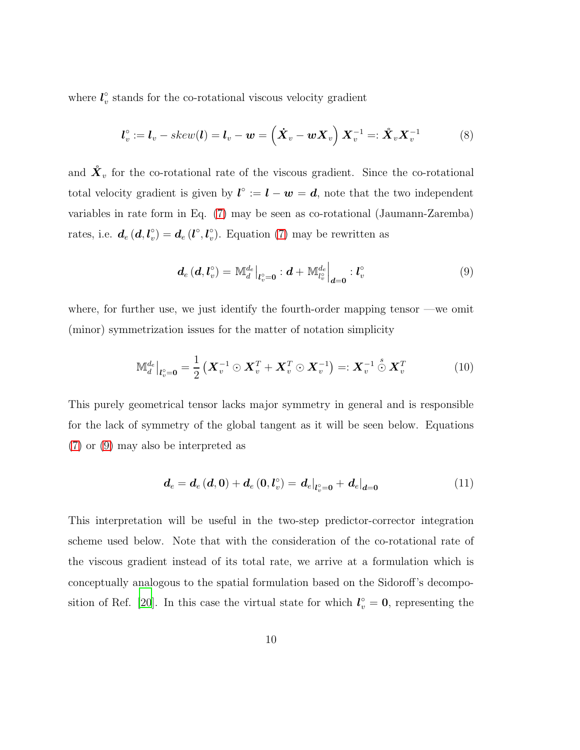where  $l_v^{\circ}$  $\frac{\infty}{v}$  stands for the co-rotational viscous velocity gradient

$$
\boldsymbol{l}_v^\circ := \boldsymbol{l}_v - skew(\boldsymbol{l}) = \boldsymbol{l}_v - \boldsymbol{w} = \left(\dot{\boldsymbol{X}}_v - \boldsymbol{w}\boldsymbol{X}_v\right)\boldsymbol{X}_v^{-1} =: \mathring{\boldsymbol{X}}_v\boldsymbol{X}_v^{-1} \tag{8}
$$

and  $\mathring{\mathbf{X}}_v$  for the co-rotational rate of the viscous gradient. Since the co-rotational total velocity gradient is given by  $l^{\circ} := l - w = d$ , note that the two independent variables in rate form in Eq. [\(7\)](#page-8-1) may be seen as co-rotational (Jaumann-Zaremba) rates, i.e.  $d_e(d, l_v^{\circ})$  $v_{v}^{\circ})=\boldsymbol{d}_{e}\left(\boldsymbol{l}^{\circ},\boldsymbol{l}^{\circ}_{v}\right)$  $\gamma_v$ ). Equation [\(7\)](#page-8-1) may be rewritten as

<span id="page-9-1"></span><span id="page-9-0"></span>
$$
\boldsymbol{d}_{e} \left( \boldsymbol{d}, \boldsymbol{l}_{v}^{\circ} \right) = \left. \mathbb{M}_{d}^{d_{e}} \right|_{\boldsymbol{l}_{v}^{\circ} = \boldsymbol{0}} : \boldsymbol{d} + \left. \mathbb{M}_{l_{v}^{\circ}}^{d_{e}} \right|_{\boldsymbol{d} = \boldsymbol{0}} : \boldsymbol{l}_{v}^{\circ} \tag{9}
$$

where, for further use, we just identify the fourth-order mapping tensor —we omit (minor) symmetrization issues for the matter of notation simplicity

$$
\mathbb{M}_d^{d_e}\big|_{\mathbf{l}_v^o=\mathbf{0}} = \frac{1}{2} \left( \mathbf{X}_v^{-1} \odot \mathbf{X}_v^T + \mathbf{X}_v^T \odot \mathbf{X}_v^{-1} \right) =: \mathbf{X}_v^{-1} \odot \mathbf{X}_v^T
$$
 (10)

This purely geometrical tensor lacks major symmetry in general and is responsible for the lack of symmetry of the global tangent as it will be seen below. Equations [\(7\)](#page-8-1) or [\(9\)](#page-9-0) may also be interpreted as

<span id="page-9-2"></span>
$$
d_e = d_e(d,0) + d_e(0,l_v^{\circ}) = d_e|_{l_v^{\circ}=0} + d_e|_{d=0}
$$
 (11)

This interpretation will be useful in the two-step predictor-corrector integration scheme used below. Note that with the consideration of the co-rotational rate of the viscous gradient instead of its total rate, we arrive at a formulation which is conceptually analogous to the spatial formulation based on the Sidoroff's decompo-sition of Ref. [\[20](#page-50-0)]. In this case the virtual state for which  $l_v^{\circ} = 0$ , representing the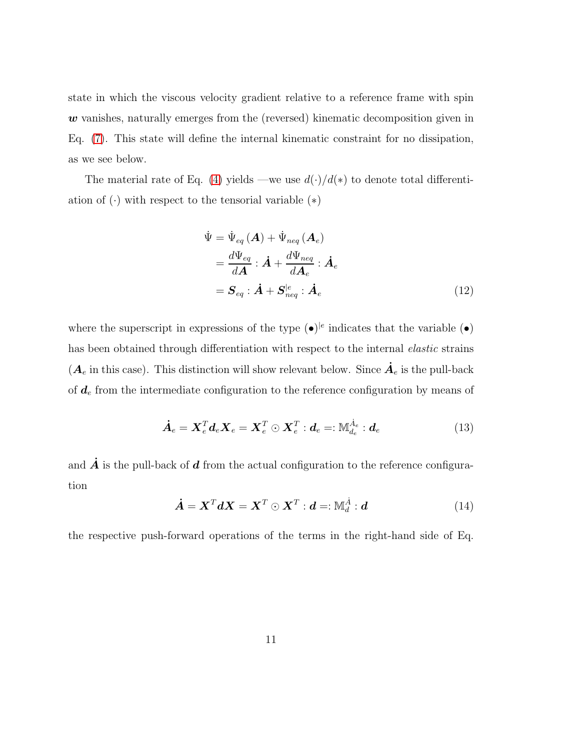state in which the viscous velocity gradient relative to a reference frame with spin w vanishes, naturally emerges from the (reversed) kinematic decomposition given in Eq. [\(7\)](#page-8-1). This state will define the internal kinematic constraint for no dissipation, as we see below.

The material rate of Eq. [\(4\)](#page-6-1) yields —we use  $d(\cdot)/d(*)$  to denote total differentiation of  $(\cdot)$  with respect to the tensorial variable  $(*)$ 

<span id="page-10-1"></span><span id="page-10-0"></span>
$$
\dot{\Psi} = \dot{\Psi}_{eq} (\boldsymbol{A}) + \dot{\Psi}_{neq} (\boldsymbol{A}_e)
$$
\n
$$
= \frac{d\Psi_{eq}}{d\boldsymbol{A}} : \dot{\boldsymbol{A}} + \frac{d\Psi_{neq}}{d\boldsymbol{A}_e} : \dot{\boldsymbol{A}}_e
$$
\n
$$
= \boldsymbol{S}_{eq} : \dot{\boldsymbol{A}} + \boldsymbol{S}_{neq}^{|e|} : \dot{\boldsymbol{A}}_e \tag{12}
$$

where the superscript in expressions of the type  $(\bullet)^{|e}$  indicates that the variable  $(\bullet)$ has been obtained through differentiation with respect to the internal *elastic* strains  $(\mathbf{A}_e \text{ in this case})$ . This distinction will show relevant below. Since  $\dot{\mathbf{A}}_e$  is the pull-back of  $d_e$  from the intermediate configuration to the reference configuration by means of

$$
\dot{\boldsymbol{A}}_e = \boldsymbol{X}_e^T \boldsymbol{d}_e \boldsymbol{X}_e = \boldsymbol{X}_e^T \odot \boldsymbol{X}_e^T : \boldsymbol{d}_e =: \mathbb{M}_{d_e}^{\dot{A}_e} : \boldsymbol{d}_e \tag{13}
$$

<span id="page-10-2"></span>and  $\dot{A}$  is the pull-back of  $d$  from the actual configuration to the reference configuration

$$
\dot{\boldsymbol{A}} = \boldsymbol{X}^T \boldsymbol{d} \boldsymbol{X} = \boldsymbol{X}^T \odot \boldsymbol{X}^T : \boldsymbol{d} =: \mathbb{M}_d^{\dot{A}} : \boldsymbol{d}
$$
(14)

the respective push-forward operations of the terms in the right-hand side of Eq.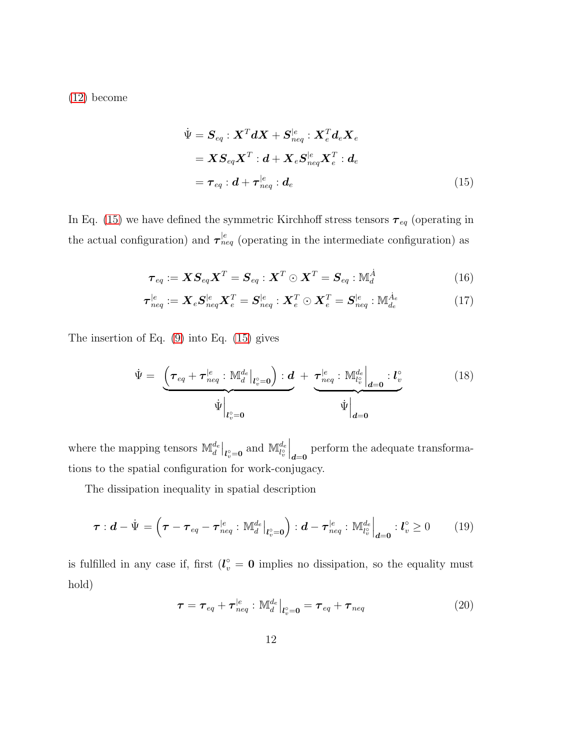[\(12\)](#page-10-0) become

<span id="page-11-0"></span>
$$
\dot{\Psi} = \mathbf{S}_{eq} : \mathbf{X}^T d\mathbf{X} + \mathbf{S}_{neq}^{|e} : \mathbf{X}_e^T d_e \mathbf{X}_e
$$
\n
$$
= \mathbf{X} \mathbf{S}_{eq} \mathbf{X}^T : d + \mathbf{X}_e \mathbf{S}_{neq}^{|e} \mathbf{X}_e^T : d_e
$$
\n
$$
= \boldsymbol{\tau}_{eq} : d + \boldsymbol{\tau}_{neq}^{|e} : d_e \tag{15}
$$

In Eq. [\(15\)](#page-11-0) we have defined the symmetric Kirchhoff stress tensors  $\pmb{\tau}_{eq}$  (operating in the actual configuration) and  $\tau_{neq}^{|e}$  (operating in the intermediate configuration) as

$$
\boldsymbol{\tau}_{eq} := \boldsymbol{X} \boldsymbol{S}_{eq} \boldsymbol{X}^T = \boldsymbol{S}_{eq} : \boldsymbol{X}^T \odot \boldsymbol{X}^T = \boldsymbol{S}_{eq} : \mathbb{M}_d^{\dot{A}} \tag{16}
$$

$$
\boldsymbol{\tau}_{neq}^{|e} := \boldsymbol{X}_e \boldsymbol{S}_{neq}^{|e} \boldsymbol{X}_e^T = \boldsymbol{S}_{neq}^{|e} : \boldsymbol{X}_e^T \odot \boldsymbol{X}_e^T = \boldsymbol{S}_{neq}^{|e} : \mathbb{M}_{de}^{\dot{A}_e}
$$
(17)

The insertion of Eq. [\(9\)](#page-9-0) into Eq. [\(15\)](#page-11-0) gives

$$
\dot{\Psi} = \underbrace{\left(\boldsymbol{\tau}_{eq} + \boldsymbol{\tau}_{neq}^{|e} : \mathbb{M}_{d}^{d_{e}}\big|_{l_{v}^{\circ}=0}\right) : \boldsymbol{d}}_{\dot{\Psi}\big|_{l_{v}^{\circ}=0}} + \underbrace{\boldsymbol{\tau}_{neq}^{|e} : \mathbb{M}_{l_{v}^{\circ}}^{d_{e}}\big|_{\boldsymbol{d}=0} : l_{v}^{\circ}}_{\dot{\Psi}\big|_{\boldsymbol{d}=0}} \qquad (18)
$$

where the mapping tensors  $\mathbb{M}_d^{d_e}|_{l_v^{\circ}=\mathbf{0}}$  and  $\mathbb{M}_{l_v^{\circ}}^{d_e}$  $\bigg|_{d=0}$  perform the adequate transformations to the spatial configuration for work-conjugacy.

The dissipation inequality in spatial description

$$
\boldsymbol{\tau} : \boldsymbol{d} - \dot{\boldsymbol{\Psi}} = \left( \boldsymbol{\tau} - \boldsymbol{\tau}_{eq} - \boldsymbol{\tau}_{neq}^{\mid e} : \mathbb{M}_{d}^{d_{e}} \big|_{\boldsymbol{l}_{v}^{\circ} = \boldsymbol{0}} \right) : \boldsymbol{d} - \boldsymbol{\tau}_{neq}^{\mid e} : \mathbb{M}_{l_{v}^{\circ}}^{d_{e}} \big|_{\boldsymbol{d} = \boldsymbol{0}} : \boldsymbol{l}_{v}^{\circ} \geq 0 \qquad (19)
$$

<span id="page-11-1"></span>is fulfilled in any case if, first  $(l_v^{\circ} = 0)$  implies no dissipation, so the equality must hold)

$$
\boldsymbol{\tau} = \boldsymbol{\tau}_{eq} + \boldsymbol{\tau}_{neq}^{|e} : \mathbb{M}_d^{d_e}|_{l_v^{\circ} = \mathbf{0}} = \boldsymbol{\tau}_{eq} + \boldsymbol{\tau}_{neq}
$$
(20)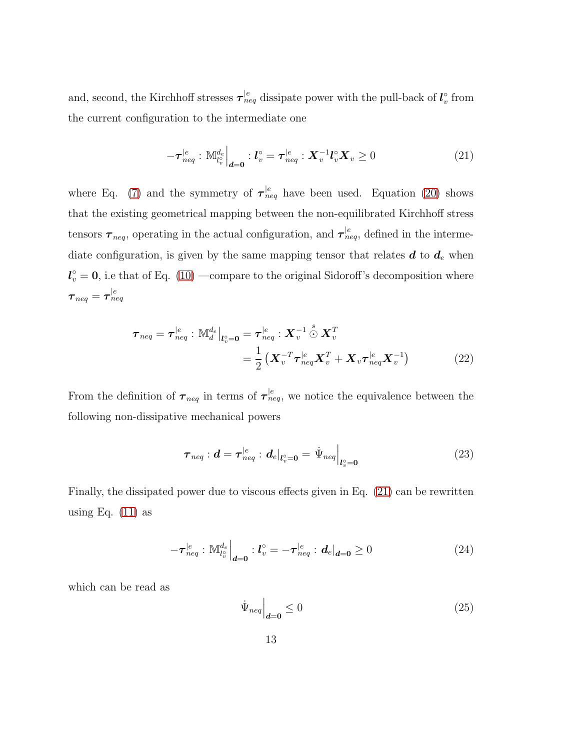and, second, the Kirchhoff stresses  $\tau_{neq}^{|e}$  dissipate power with the pull-back of  $l_v^{\circ}$  $\int_v^{\infty}$  from the current configuration to the intermediate one

<span id="page-12-0"></span>
$$
-\boldsymbol{\tau}_{neq}^{|e}: \mathbb{M}_{l_v^{\circ}}^{d_e}\Big|_{\boldsymbol{d}=\boldsymbol{0}}: \boldsymbol{l}_v^{\circ} = \boldsymbol{\tau}_{neq}^{|e}: \boldsymbol{X}_v^{-1} \boldsymbol{l}_v^{\circ} \boldsymbol{X}_v \ge 0 \tag{21}
$$

where Eq. [\(7\)](#page-8-1) and the symmetry of  $\tau_{neq}^{|e}$  have been used. Equation [\(20\)](#page-11-1) shows that the existing geometrical mapping between the non-equilibrated Kirchhoff stress tensors  $\tau_{neq}$ , operating in the actual configuration, and  $\tau_{neq}^{|e}$ , defined in the intermediate configuration, is given by the same mapping tensor that relates  $d$  to  $d_e$  when  $l_v^{\circ} = 0$ , i.e that of Eq. [\(10\)](#page-9-1) —compare to the original Sidoroff's decomposition where  $\bm{\tau}_{neq} = \bm{\tau}_{neq}^{|e|}$ 

$$
\boldsymbol{\tau}_{neq} = \boldsymbol{\tau}_{neq}^{|e} : \mathbb{M}_{d}^{d_{e}} \Big|_{l_{v}^{\circ}=0} = \boldsymbol{\tau}_{neq}^{|e} : \boldsymbol{X}_{v}^{-1} \overset{s}{\odot} \boldsymbol{X}_{v}^{T}
$$
\n
$$
= \frac{1}{2} \left( \boldsymbol{X}_{v}^{-T} \boldsymbol{\tau}_{neq}^{|e} \boldsymbol{X}_{v}^{T} + \boldsymbol{X}_{v} \boldsymbol{\tau}_{neq}^{|e} \boldsymbol{X}_{v}^{-1} \right) \tag{22}
$$

From the definition of  $\tau_{neq}$  in terms of  $\tau_{neq}^{|e}$ , we notice the equivalence between the following non-dissipative mechanical powers

<span id="page-12-2"></span>
$$
\boldsymbol{\tau}_{neq} : \boldsymbol{d} = \boldsymbol{\tau}_{neq}^{\mid e} : \boldsymbol{d}_{e} \vert_{l_{v}^{\circ} = \boldsymbol{0}} = \dot{\Psi}_{neq} \vert_{l_{v}^{\circ} = \boldsymbol{0}} \tag{23}
$$

Finally, the dissipated power due to viscous effects given in Eq. [\(21\)](#page-12-0) can be rewritten using Eq.  $(11)$  as

<span id="page-12-1"></span>
$$
-\tau_{neq}^{|e}: \mathbb{M}_{l_v^{\circ}}^{d_e}\Big|_{\mathbf{d}=\mathbf{0}} : l_v^{\circ} = -\tau_{neq}^{|e}: \mathbf{d}_e|_{\mathbf{d}=\mathbf{0}} \ge 0 \tag{24}
$$

which can be read as

$$
\dot{\Psi}_{neq}\Big|_{d=0} \le 0 \tag{25}
$$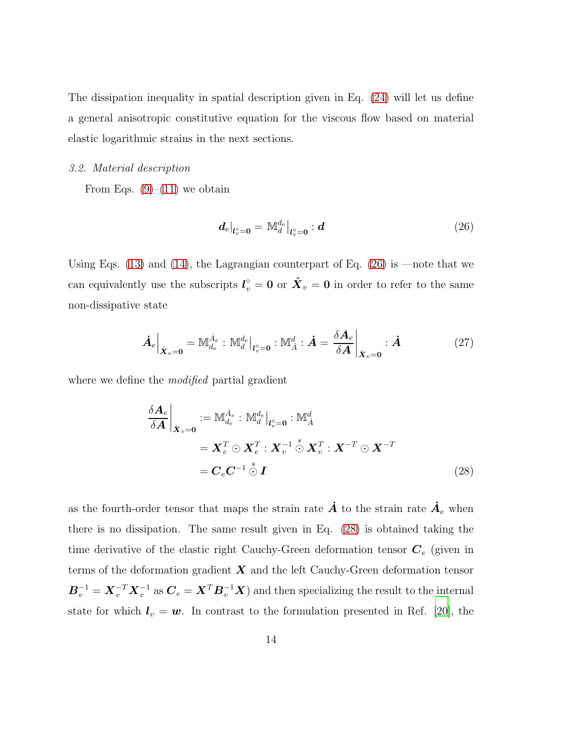The dissipation inequality in spatial description given in Eq. [\(24\)](#page-12-1) will let us define a general anisotropic constitutive equation for the viscous flow based on material elastic logarithmic strains in the next sections.

#### <span id="page-13-3"></span>*3.2. Material description*

From Eqs.  $(9)$ – $(11)$  we obtain

<span id="page-13-0"></span>
$$
\left. \mathbf{d}_{e} \right|_{\mathbf{l}_{v}^{\circ} = \mathbf{0}} = \mathbb{M}_{d}^{d_{e}} \left|_{\mathbf{l}_{v}^{\circ} = \mathbf{0}} : \mathbf{d} \right| \tag{26}
$$

Using Eqs.  $(13)$  and  $(14)$ , the Lagrangian counterpart of Eq.  $(26)$  is —note that we can equivalently use the subscripts  $l_v^{\circ} = 0$  or  $\mathring{X}_v = 0$  in order to refer to the same non-dissipative state

<span id="page-13-2"></span>
$$
\dot{\boldsymbol{A}}_e \Big|_{\mathring{X}_v = \mathbf{0}} = \mathbb{M}_{d_e}^{\dot{A}_e} : \mathbb{M}_d^{d_e} \Big|_{l_v^{\circ} = \mathbf{0}} : \mathbb{M}_A^d : \dot{\boldsymbol{A}} = \frac{\delta \boldsymbol{A}_e}{\delta \boldsymbol{A}} \Big|_{\mathring{X}_v = \mathbf{0}} : \dot{\boldsymbol{A}} \tag{27}
$$

where we define the *modified* partial gradient

<span id="page-13-1"></span>
$$
\frac{\delta \mathbf{A}_e}{\delta \mathbf{A}}\Big|_{\mathring{\mathbf{X}}_v=\mathbf{0}} := \mathbb{M}_{d_e}^{\dot{A}_e} : \mathbb{M}_d^{d_e}|_{\mathbf{l}_v^{\circ}=\mathbf{0}} : \mathbb{M}_A^d
$$
\n
$$
= \mathbf{X}_e^T \odot \mathbf{X}_e^T : \mathbf{X}_v^{-1} \odot \mathbf{X}_v^T : \mathbf{X}^{-T} \odot \mathbf{X}^{-T}
$$
\n
$$
= \mathbf{C}_e \mathbf{C}^{-1} \odot \mathbf{I}
$$
\n(28)

as the fourth-order tensor that maps the strain rate  $\dot{A}$  to the strain rate  $\dot{A}_e$  when there is no dissipation. The same result given in Eq. [\(28\)](#page-13-1) is obtained taking the time derivative of the elastic right Cauchy-Green deformation tensor  $C_e$  (given in terms of the deformation gradient  $X$  and the left Cauchy-Green deformation tensor  $B_v^{-1} = X_v^{-T} X_v^{-1}$  as  $C_e = X^T B_v^{-1} X$ ) and then specializing the result to the internal state for which  $l_v = w$ . In contrast to the formulation presented in Ref. [\[20\]](#page-50-0), the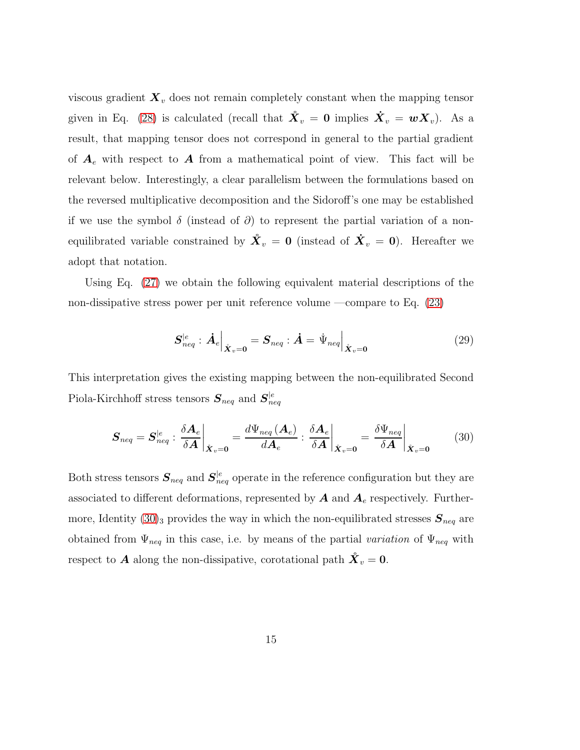viscous gradient  $\mathbf{X}_v$  does not remain completely constant when the mapping tensor given in Eq. [\(28\)](#page-13-1) is calculated (recall that  $\mathring{\bm{X}}_v = \bm{0}$  implies  $\mathring{\bm{X}}_v = \bm{w} \bm{X}_v$ ). As a result, that mapping tensor does not correspond in general to the partial gradient of  $A_e$  with respect to A from a mathematical point of view. This fact will be relevant below. Interestingly, a clear parallelism between the formulations based on the reversed multiplicative decomposition and the Sidoroff's one may be established if we use the symbol  $\delta$  (instead of  $\partial$ ) to represent the partial variation of a nonequilibrated variable constrained by  $\mathring{\bm{X}}_v = \bm{0}$  (instead of  $\mathring{\bm{X}}_v = \bm{0}$ ). Hereafter we adopt that notation.

Using Eq. [\(27\)](#page-13-2) we obtain the following equivalent material descriptions of the non-dissipative stress power per unit reference volume —compare to Eq. [\(23\)](#page-12-2)

<span id="page-14-1"></span><span id="page-14-0"></span>
$$
\boldsymbol{S}_{neq}^{|e} : \boldsymbol{\dot{A}}_e \Big|_{\boldsymbol{\dot{X}}_v = \mathbf{0}} = \boldsymbol{S}_{neq} : \boldsymbol{\dot{A}} = \boldsymbol{\dot{\Psi}}_{neq} \Big|_{\boldsymbol{\dot{X}}_v = \mathbf{0}} \tag{29}
$$

This interpretation gives the existing mapping between the non-equilibrated Second Piola-Kirchhoff stress tensors  $S_{neq}$  and  $S_{neq}^{|e|}$ neq

$$
\boldsymbol{S}_{neq} = \boldsymbol{S}_{neq}^{|e} : \left. \frac{\delta \boldsymbol{A}_{e}}{\delta \boldsymbol{A}} \right|_{\hat{\boldsymbol{X}}_{v} = \boldsymbol{0}} = \frac{d \Psi_{neq}(\boldsymbol{A}_{e})}{d \boldsymbol{A}_{e}} : \left. \frac{\delta \boldsymbol{A}_{e}}{\delta \boldsymbol{A}} \right|_{\hat{\boldsymbol{X}}_{v} = \boldsymbol{0}} = \left. \frac{\delta \Psi_{neq}}{\delta \boldsymbol{A}} \right|_{\hat{\boldsymbol{X}}_{v} = \boldsymbol{0}} \tag{30}
$$

Both stress tensors  $S_{neq}$  and  $S_{neq}^{|e|}$  operate in the reference configuration but they are associated to different deformations, represented by  $A$  and  $A_e$  respectively. Furthermore, Identity  $(30)_3$  provides the way in which the non-equilibrated stresses  $S_{neq}$  are obtained from  $\Psi_{neq}$  in this case, i.e. by means of the partial *variation* of  $\Psi_{neq}$  with respect to **A** along the non-dissipative, corotational path  $\mathbf{\hat{X}}_v = \mathbf{0}$ .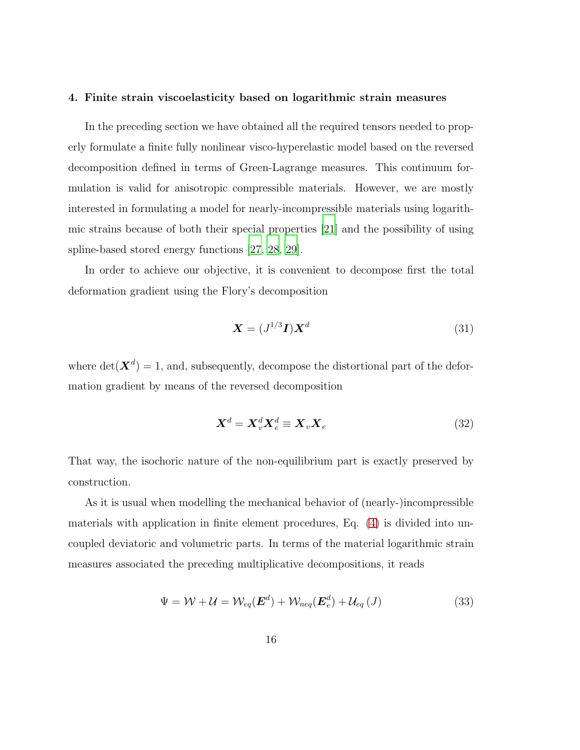#### 4. Finite strain viscoelasticity based on logarithmic strain measures

In the preceding section we have obtained all the required tensors needed to properly formulate a finite fully nonlinear visco-hyperelastic model based on the reversed decomposition defined in terms of Green-Lagrange measures. This continuum formulation is valid for anisotropic compressible materials. However, we are mostly interested in formulating a model for nearly-incompressible materials using logarithmic strains because of both their special properties [\[21\]](#page-50-1) and the possibility of using spline-based stored energy functions [\[27,](#page-50-7) [28,](#page-51-0) [29\]](#page-51-1).

In order to achieve our objective, it is convenient to decompose first the total deformation gradient using the Flory's decomposition

<span id="page-15-1"></span>
$$
\mathbf{X} = (J^{1/3}\mathbf{I})\mathbf{X}^d \tag{31}
$$

where  $\det(\mathbf{X}^d) = 1$ , and, subsequently, decompose the distortional part of the deformation gradient by means of the reversed decomposition

<span id="page-15-0"></span>
$$
\mathbf{X}^d = \mathbf{X}_v^d \mathbf{X}_e^d \equiv \mathbf{X}_v \mathbf{X}_e \tag{32}
$$

That way, the isochoric nature of the non-equilibrium part is exactly preserved by construction.

As it is usual when modelling the mechanical behavior of (nearly-)incompressible materials with application in finite element procedures, Eq. [\(4\)](#page-6-1) is divided into uncoupled deviatoric and volumetric parts. In terms of the material logarithmic strain measures associated the preceding multiplicative decompositions, it reads

$$
\Psi = \mathcal{W} + \mathcal{U} = \mathcal{W}_{eq}(\mathbf{E}^d) + \mathcal{W}_{neq}(\mathbf{E}_e^d) + \mathcal{U}_{eq}(J)
$$
\n(33)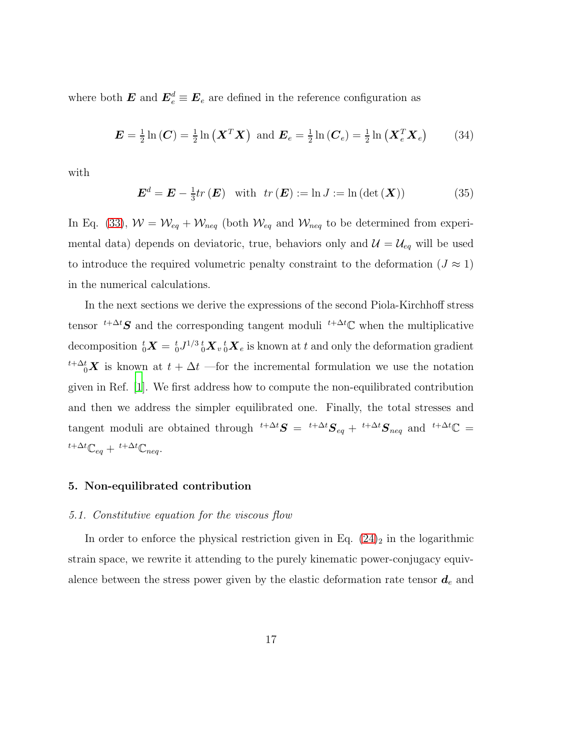where both  $\boldsymbol{E}$  and  $\boldsymbol{E}^d_e \equiv \boldsymbol{E}_e$  are defined in the reference configuration as

$$
\boldsymbol{E} = \frac{1}{2} \ln \left( \boldsymbol{C} \right) = \frac{1}{2} \ln \left( \boldsymbol{X}^T \boldsymbol{X} \right) \text{ and } \boldsymbol{E}_e = \frac{1}{2} \ln \left( \boldsymbol{C}_e \right) = \frac{1}{2} \ln \left( \boldsymbol{X}_e^T \boldsymbol{X}_e \right) \tag{34}
$$

with

$$
\boldsymbol{E}^{d} = \boldsymbol{E} - \frac{1}{3} tr(\boldsymbol{E}) \quad \text{with} \quad tr(\boldsymbol{E}) := \ln J := \ln \left( \det(\boldsymbol{X}) \right) \tag{35}
$$

In Eq. [\(33\)](#page-15-0),  $W = W_{eq} + W_{neq}$  (both  $W_{eq}$  and  $W_{neq}$  to be determined from experimental data) depends on deviatoric, true, behaviors only and  $\mathcal{U} = \mathcal{U}_{eq}$  will be used to introduce the required volumetric penalty constraint to the deformation ( $J \approx 1$ ) in the numerical calculations.

In the next sections we derive the expressions of the second Piola-Kirchhoff stress tensor <sup> $t+\Delta t$ </sup>S and the corresponding tangent moduli  $t+\Delta t$ <sup>c</sup> when the multiplicative decomposition  ${}^t_0X = {}^t_0J^{1/3} {}^t_0X_v {}^t_0X_e$  is known at  $t$  and only the deformation gradient  $\sum_{i=0}^{t+\Delta t} X$  is known at  $t + \Delta t$  —for the incremental formulation we use the notation given in Ref. [\[1](#page-48-0)]. We first address how to compute the non-equilibrated contribution and then we address the simpler equilibrated one. Finally, the total stresses and tangent moduli are obtained through  $t+\Delta t$   $S = t+\Delta t$   $S_{eq} + t+\Delta t$   $S_{neq}$  and  $t+\Delta t$   $\mathbb{C} =$  $t+\Delta t \mathbb{C}_{eq} + t+\Delta t \mathbb{C}_{neq}.$ 

# <span id="page-16-0"></span>5. Non-equilibrated contribution

#### *5.1. Constitutive equation for the viscous flow*

In order to enforce the physical restriction given in Eq.  $(24)_2$  in the logarithmic strain space, we rewrite it attending to the purely kinematic power-conjugacy equivalence between the stress power given by the elastic deformation rate tensor  $d_e$  and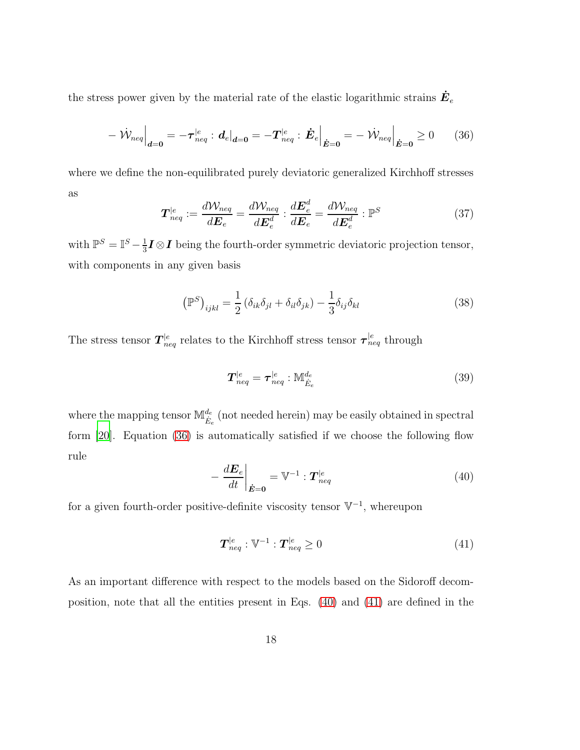the stress power given by the material rate of the elastic logarithmic strains  $\dot{\bm{E}}_e$ 

$$
- \left. \dot{\mathcal{W}}_{neq} \right|_{\mathbf{d} = \mathbf{0}} = - \boldsymbol{\tau}_{neq}^{|e} : \left. \mathbf{d}_{e} \right|_{\mathbf{d} = \mathbf{0}} = - \boldsymbol{T}_{neq}^{|e} : \left. \dot{\mathbf{E}}_{e} \right|_{\dot{\mathbf{E}} = \mathbf{0}} = - \left. \dot{\mathcal{W}}_{neq} \right|_{\dot{\mathbf{E}} = \mathbf{0}} \ge 0 \qquad (36)
$$

<span id="page-17-3"></span>where we define the non-equilibrated purely deviatoric generalized Kirchhoff stresses as

<span id="page-17-0"></span>
$$
\boldsymbol{T}_{neq}^{|e} := \frac{d\mathcal{W}_{neq}}{d\boldsymbol{E}_e} = \frac{d\mathcal{W}_{neq}}{d\boldsymbol{E}_e^d} : \frac{d\boldsymbol{E}_e^d}{d\boldsymbol{E}_e} = \frac{d\mathcal{W}_{neq}}{d\boldsymbol{E}_e^d} : \mathbb{P}^S
$$
(37)

with  $\mathbb{P}^S = \mathbb{I}^S - \frac{1}{3}$  $\frac{1}{3}I\otimes I$  being the fourth-order symmetric deviatoric projection tensor, with components in any given basis

$$
\left(\mathbb{P}^S\right)_{ijkl} = \frac{1}{2} \left(\delta_{ik}\delta_{jl} + \delta_{il}\delta_{jk}\right) - \frac{1}{3}\delta_{ij}\delta_{kl} \tag{38}
$$

The stress tensor  $T^{|e}_{neq}$  relates to the Kirchhoff stress tensor  $\tau^{|e}_{neq}$  through

$$
T_{neq}^{|e} = \tau_{neq}^{|e} : \mathbb{M}_{\dot{E}_e}^{d_e}
$$
 (39)

<span id="page-17-1"></span>where the mapping tensor  $\mathbb{M}^{d_e}_{\dot{E}_e}$  (not needed herein) may be easily obtained in spectral form [\[20\]](#page-50-0). Equation [\(36\)](#page-17-0) is automatically satisfied if we choose the following flow rule

$$
-\left.\frac{d\boldsymbol{E}_e}{dt}\right|_{\dot{\boldsymbol{E}}=\boldsymbol{0}} = \mathbb{V}^{-1} : \boldsymbol{T}_{neq}^{|e|} \tag{40}
$$

for a given fourth-order positive-definite viscosity tensor  $\mathbb{V}^{-1}$ , whereupon

<span id="page-17-2"></span>
$$
\boldsymbol{T}_{neq}^{|e} : \mathbb{V}^{-1} : \boldsymbol{T}_{neq}^{|e} \ge 0 \tag{41}
$$

As an important difference with respect to the models based on the Sidoroff decomposition, note that all the entities present in Eqs. [\(40\)](#page-17-1) and [\(41\)](#page-17-2) are defined in the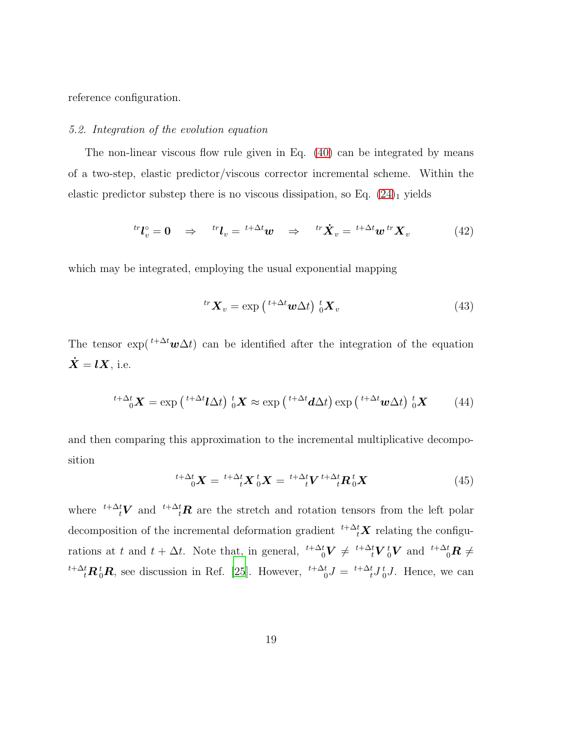reference configuration.

#### *5.2. Integration of the evolution equation*

The non-linear viscous flow rule given in Eq. [\(40\)](#page-17-1) can be integrated by means of a two-step, elastic predictor/viscous corrector incremental scheme. Within the elastic predictor substep there is no viscous dissipation, so Eq.  $(24)$ <sub>1</sub> yields

$$
{}^{tr}\boldsymbol{l}_v^{\circ} = \boldsymbol{0} \quad \Rightarrow \quad {}^{tr}\boldsymbol{l}_v = {}^{t+\Delta t}\boldsymbol{w} \quad \Rightarrow \quad {}^{tr}\dot{\boldsymbol{X}}_v = {}^{t+\Delta t}\boldsymbol{w} \, {}^{tr}\boldsymbol{X}_v \tag{42}
$$

which may be integrated, employing the usual exponential mapping

<span id="page-18-0"></span>
$$
{}^{tr}\mathbf{X}_v = \exp\left(\,{}^{t+\Delta t}\mathbf{w}\Delta t\right)\,{}^t_0\mathbf{X}_v\tag{43}
$$

The tensor  $\exp\left(t+\Delta t\mathbf{w}\Delta t\right)$  can be identified after the integration of the equation  $\dot{X} = lX$ , i.e.

$$
{}^{t+\Delta t} {}_{0}X = \exp\left({}^{t+\Delta t} \mathbf{l} \Delta t\right) {}_{0}^{t}X \approx \exp\left({}^{t+\Delta t} \mathbf{d} \Delta t\right) \exp\left({}^{t+\Delta t} \mathbf{w} \Delta t\right) {}_{0}^{t}X \tag{44}
$$

and then comparing this approximation to the incremental multiplicative decomposition

$$
{}^{t+\Delta t}{}_{0}\boldsymbol{X} = {}^{t+\Delta t}{}_{t}\boldsymbol{X}{}^{t}{}_{0}\boldsymbol{X} = {}^{t+\Delta t}{}_{t}\boldsymbol{V}{}^{t+\Delta t}{}_{t}\boldsymbol{R}{}^{t}{}_{0}\boldsymbol{X}
$$
\n
$$
\tag{45}
$$

where <sup> $t+\Delta_t^t V$ </sup> and  $\Delta_t^t R$  are the stretch and rotation tensors from the left polar decomposition of the incremental deformation gradient  ${}^{t+\Delta_t^t}X$  relating the configurations at t and  $t + \Delta t$ . Note that, in general,  $\frac{t + \Delta t}{0}V \neq \frac{t + \Delta t}{t}V \frac{t}{0}V$  and  $\frac{t + \Delta t}{0}R \neq$  ${}^{t+\Delta t}_{t}$ **R**<sup>t</sup><sub>0</sub>**R**, see discussion in Ref. [\[25](#page-50-6)]. However,  ${}^{t+\Delta t}_{0}J = {}^{t+\Delta t}_{t}J {}^{t}_{0}J$ . Hence, we can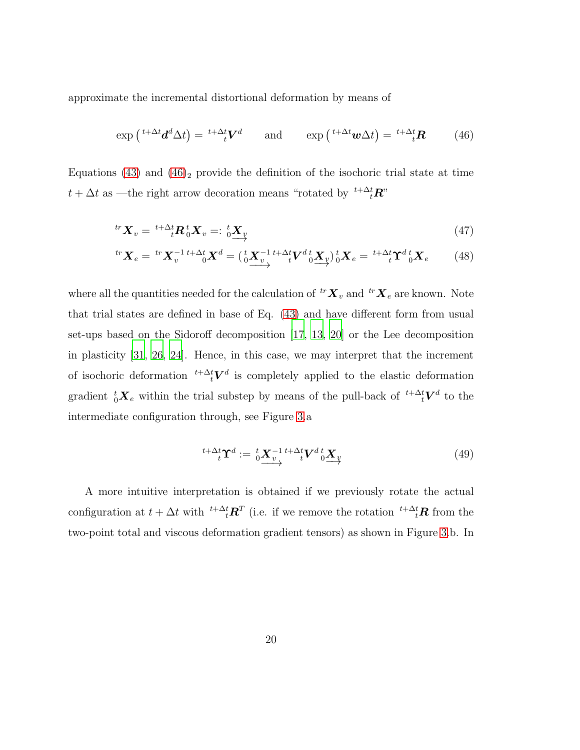approximate the incremental distortional deformation by means of

<span id="page-19-0"></span>
$$
\exp\left(\,^{t+\Delta t}\mathbf{d}^d\Delta t\right) = \,^{t+\Delta t}\mathbf{V}^d \qquad \text{and} \qquad \exp\left(\,^{t+\Delta t}\mathbf{w}\Delta t\right) = \,^{t+\Delta t}\mathbf{R} \tag{46}
$$

Equations [\(43\)](#page-18-0) and  $(46)_2$  provide the definition of the isochoric trial state at time  $t + \Delta t$  as —the right arrow decoration means "rotated by  $t^{+\Delta t}$ **R**"

$$
{}^{tr}\mathbf{X}_v = {}^{t+\Delta t} \mathbf{R}_0^t \mathbf{X}_v =: \, {}^t_0 \underline{\mathbf{X}}_v \tag{47}
$$

$$
{}^{tr}\mathbf{X}_e = {}^{tr}\mathbf{X}_v^{-1} {}^{t+\Delta t} {}_0\mathbf{X}^d = \left(\begin{array}{c} {}^t\mathbf{X}_v^{-1} {}^{t+\Delta t}V^d {}_0\mathbf{X}_v \end{array}\right) {}_0^t\mathbf{X}_e = {}^{t+\Delta t} {}_t\mathbf{\hat{T}}^d {}_0^t\mathbf{X}_e \tag{48}
$$

where all the quantities needed for the calculation of  ${}^{tr}X_v$  and  ${}^{tr}X_e$  are known. Note that trial states are defined in base of Eq. [\(43\)](#page-18-0) and have different form from usual set-ups based on the Sidoroff decomposition [\[17](#page-49-6), [13,](#page-49-2) [20\]](#page-50-0) or the Lee decomposition in plasticity [\[31,](#page-51-3) [26](#page-50-4), [24\]](#page-50-5). Hence, in this case, we may interpret that the increment of isochoric deformation  $t + \Delta_t^t V^d$  is completely applied to the elastic deformation gradient  ${}_{0}^{t}X_{e}$  within the trial substep by means of the pull-back of  ${}^{t+\Delta t}_{t}V^{d}$  to the intermediate configuration through, see Figure [3.](#page-20-0)a

<span id="page-19-2"></span><span id="page-19-1"></span>
$$
{}^{t+\Delta t} \mathbf{\hat{U}}^d := \left\{ \mathbf{X}_v^{-1} \right\} {}^{t+\Delta t} \mathbf{V}^d \left\{ \mathbf{X}_v \right\} \longrightarrow \tag{49}
$$

A more intuitive interpretation is obtained if we previously rotate the actual configuration at  $t + \Delta t$  with  $\int_{t}^{t + \Delta t} \mathbf{R}^{T}$  (i.e. if we remove the rotation  $\int_{t}^{t + \Delta t} \mathbf{R}$  from the two-point total and viscous deformation gradient tensors) as shown in Figure [3.](#page-20-0)b. In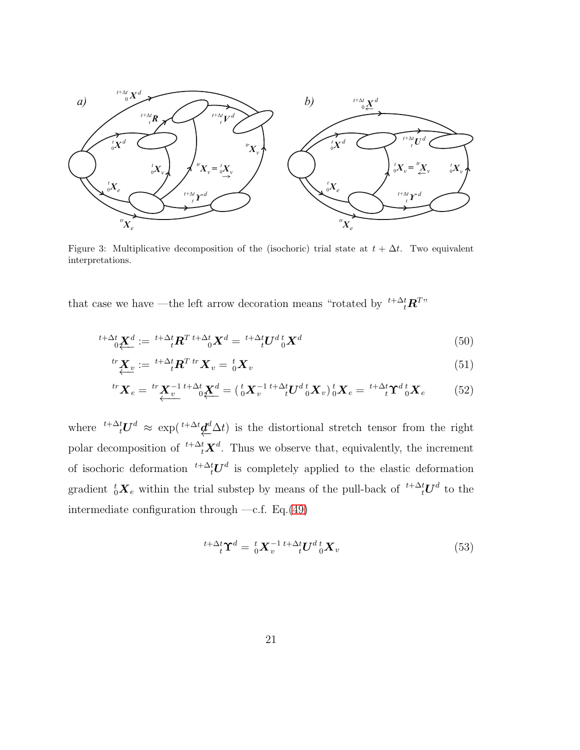

<span id="page-20-0"></span>Figure 3: Multiplicative decomposition of the (isochoric) trial state at  $t + \Delta t$ . Two equivalent interpretations.

that case we have —the left arrow decoration means "rotated by  $\mathbf{t}^{t+\Delta t} \mathbf{R}^{T}$ "

$$
\sum_{i+\Delta t}^{t+\Delta t} \mathbf{X}^d := \sum_{i+\Delta t}^{t+\Delta t} \mathbf{R}^T \mathbf{A}^{t+\Delta t} \mathbf{X}^d = \sum_{i+\Delta t}^{t+\Delta t} \mathbf{U}^d \mathbf{X}^d \mathbf{X}^d \tag{50}
$$

$$
\stackrel{tr}{\mathbf{X}_v} := \stackrel{t + \Delta t}{\longrightarrow} \mathbf{R}^T \stackrel{tr}{\mathbf{X}_v} = \stackrel{t}{\underset{0}{\otimes}} \mathbf{X}_v \tag{51}
$$

$$
{}^{tr}\mathbf{X}_e = {}^{tr}\mathbf{X}_v^{-1} {}^{t+\Delta t} \mathbf{X}_v^d = ({}^t_0 \mathbf{X}_v^{-1} {}^{t+\Delta t} \mathbf{U}^d {}^t_0 \mathbf{X}_v) {}^t_0 \mathbf{X}_e = {}^{t+\Delta t} \mathbf{Y}^d {}^t_0 \mathbf{X}_e \tag{52}
$$

where <sup>t+∆t</sup> $U^d$  ≈ exp(<sup>t+∆t</sup> $\underline{d}^d$  $\Delta t$ ) is the distortional stretch tensor from the right polar decomposition of <sup> $t+\Delta_t^t \mathbf{X}^d$ . Thus we observe that, equivalently, the increment</sup> of isochoric deformation  $t + \Delta_t^t U^d$  is completely applied to the elastic deformation gradient  ${}_{0}^{t}X_{e}$  within the trial substep by means of the pull-back of  ${}^{t+\Delta t}_{t}U^{d}$  to the intermediate configuration through  $-c.f.$  Eq.[\(49\)](#page-19-1)

<span id="page-20-1"></span>
$$
{}^{t+\Delta t}_{t} \Upsilon^{d} = {}^{t}_{0} \boldsymbol{X}_{v}^{-1} {}^{t+\Delta t}_{t} \boldsymbol{U}^{d} {}^{t}_{0} \boldsymbol{X}_{v}
$$
\n
$$
\tag{53}
$$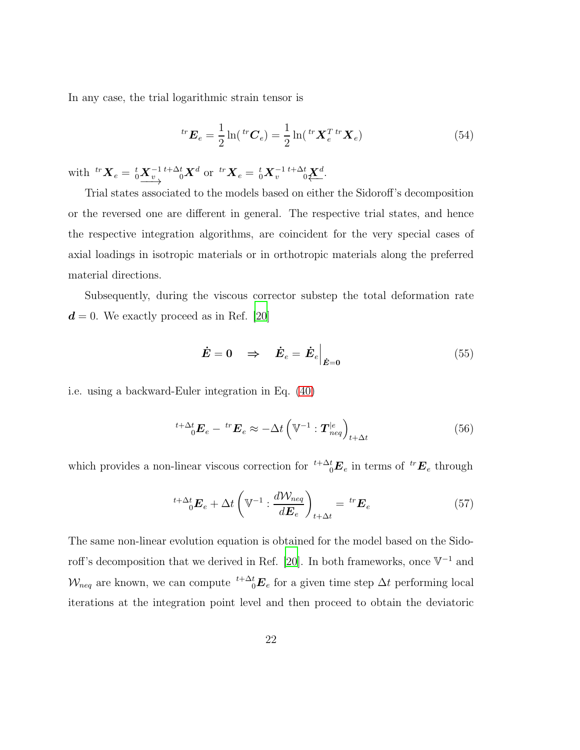In any case, the trial logarithmic strain tensor is

<span id="page-21-1"></span>
$$
{}^{tr}\boldsymbol{E}_e = \frac{1}{2}\ln({}^{tr}\boldsymbol{C}_e) = \frac{1}{2}\ln({}^{tr}\boldsymbol{X}_e^T\,{}^{tr}\boldsymbol{X}_e) \tag{54}
$$

with  ${}^{tr}X_e = {}^{t}_{0}\underline{X}^{-1}_{v} {}^{t+\Delta t}_{0}X^d$  or  ${}^{tr}X_e = {}^{t}_{0}X^{-1}_{v} {}^{t+\Delta t}_{0}\underline{X}^d$ .

Trial states associated to the models based on either the Sidoroff's decomposition or the reversed one are different in general. The respective trial states, and hence the respective integration algorithms, are coincident for the very special cases of axial loadings in isotropic materials or in orthotropic materials along the preferred material directions.

Subsequently, during the viscous corrector substep the total deformation rate  $d = 0$ . We exactly proceed as in Ref. [\[20\]](#page-50-0)

<span id="page-21-0"></span>
$$
\dot{E} = 0 \quad \Rightarrow \quad \dot{E}_e = \dot{E}_e \Big|_{\dot{E}=0} \tag{55}
$$

i.e. using a backward-Euler integration in Eq. [\(40\)](#page-17-1)

$$
{}^{t+\Delta t}_{0} \boldsymbol{E}_{e} - {}^{tr} \boldsymbol{E}_{e} \approx -\Delta t \left( \mathbb{V}^{-1} : \boldsymbol{T}^{|e}_{neq} \right)_{t+\Delta t}
$$
(56)

which provides a non-linear viscous correction for  $t^{+\Delta t}_{0}E_{e}$  in terms of  ${}^{tr}E_{e}$  through

$$
{}^{t+\Delta t}_{0} \mathbf{E}_{e} + \Delta t \left( \mathbb{V}^{-1} : \frac{d \mathcal{W}_{neq}}{d \mathbf{E}_{e}} \right)_{t+\Delta t} = {}^{tr} \mathbf{E}_{e}
$$
(57)

The same non-linear evolution equation is obtained for the model based on the Sido-roff's decomposition that we derived in Ref. [\[20](#page-50-0)]. In both frameworks, once  $V^{-1}$  and  $\mathcal{W}_{neq}$  are known, we can compute  $\sqrt[t]{\Delta_t^t} \mathbf{E}_e$  for a given time step  $\Delta t$  performing local iterations at the integration point level and then proceed to obtain the deviatoric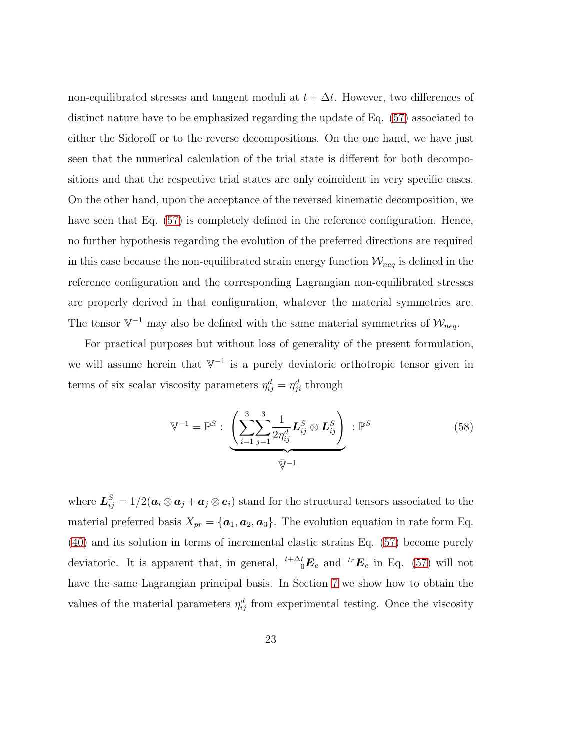non-equilibrated stresses and tangent moduli at  $t + \Delta t$ . However, two differences of distinct nature have to be emphasized regarding the update of Eq. [\(57\)](#page-21-0) associated to either the Sidoroff or to the reverse decompositions. On the one hand, we have just seen that the numerical calculation of the trial state is different for both decompositions and that the respective trial states are only coincident in very specific cases. On the other hand, upon the acceptance of the reversed kinematic decomposition, we have seen that Eq.  $(57)$  is completely defined in the reference configuration. Hence, no further hypothesis regarding the evolution of the preferred directions are required in this case because the non-equilibrated strain energy function  $\mathcal{W}_{neq}$  is defined in the reference configuration and the corresponding Lagrangian non-equilibrated stresses are properly derived in that configuration, whatever the material symmetries are. The tensor  $\mathbb{V}^{-1}$  may also be defined with the same material symmetries of  $\mathcal{W}_{neq}$ .

For practical purposes but without loss of generality of the present formulation, we will assume herein that  $V^{-1}$  is a purely deviatoric orthotropic tensor given in terms of six scalar viscosity parameters  $\eta_{ij}^d = \eta_{ji}^d$  through

<span id="page-22-0"></span>
$$
\mathbb{V}^{-1} = \mathbb{P}^S : \underbrace{\left(\sum_{i=1}^3 \sum_{j=1}^3 \frac{1}{2\eta_{ij}^d} \mathbf{L}_{ij}^S \otimes \mathbf{L}_{ij}^S\right)}_{\overline{\mathbb{V}}^{-1}} : \mathbb{P}^S
$$
\n
$$
(58)
$$

where  $\bm{L}_{ij}^S = 1/2(\bm{a}_i \otimes \bm{a}_j + \bm{a}_j \otimes \bm{e}_i)$  stand for the structural tensors associated to the material preferred basis  $X_{pr} = {\bf{a}_1, a_2, a_3}.$  The evolution equation in rate form Eq. [\(40\)](#page-17-1) and its solution in terms of incremental elastic strains Eq. [\(57\)](#page-21-0) become purely deviatoric. It is apparent that, in general,  ${}^{t+\Delta t}_{0}E_{e}$  and  ${}^{tr}E_{e}$  in Eq. [\(57\)](#page-21-0) will not have the same Lagrangian principal basis. In Section [7](#page-33-0) we show how to obtain the values of the material parameters  $\eta_{ij}^d$  from experimental testing. Once the viscosity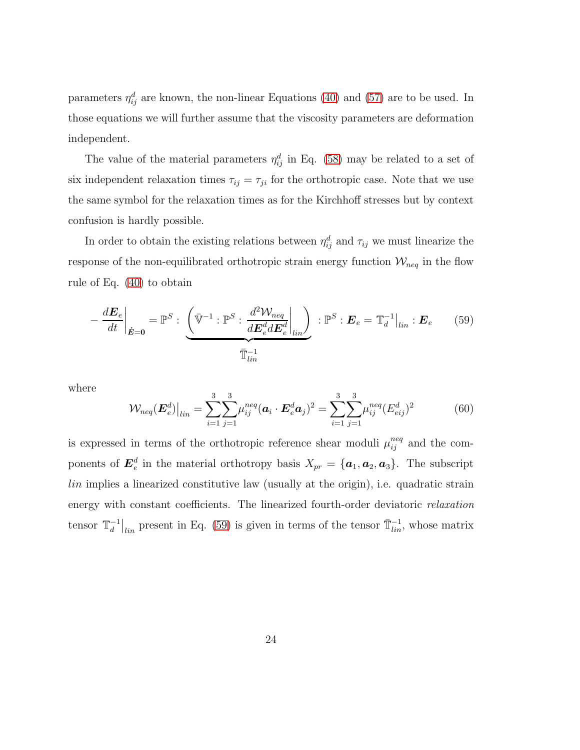parameters  $\eta_{ij}^d$  are known, the non-linear Equations [\(40\)](#page-17-1) and [\(57\)](#page-21-0) are to be used. In those equations we will further assume that the viscosity parameters are deformation independent.

The value of the material parameters  $\eta_{ij}^d$  in Eq. [\(58\)](#page-22-0) may be related to a set of six independent relaxation times  $\tau_{ij} = \tau_{ji}$  for the orthotropic case. Note that we use the same symbol for the relaxation times as for the Kirchhoff stresses but by context confusion is hardly possible.

In order to obtain the existing relations between  $\eta_{ij}^d$  and  $\tau_{ij}$  we must linearize the response of the non-equilibrated orthotropic strain energy function  $\mathcal{W}_{neq}$  in the flow rule of Eq. [\(40\)](#page-17-1) to obtain

<span id="page-23-0"></span>
$$
-\frac{d\boldsymbol{E}_e}{dt}\bigg|_{\dot{\boldsymbol{E}}=\boldsymbol{0}} = \mathbb{P}^S : \underbrace{\left(\bar{\mathbb{V}}^{-1} : \mathbb{P}^S : \frac{d^2 \mathcal{W}_{neq}}{d\boldsymbol{E}_e^d d\boldsymbol{E}_e^d}\bigg|_{lin}\right)}_{\bar{\mathbb{T}}_{lin}^{-1}} : \mathbf{E}_e = \mathbb{T}_d^{-1}\big|_{lin} : \boldsymbol{E}_e \qquad (59)
$$

where

$$
\mathcal{W}_{neq}(\boldsymbol{E}_{e}^{d})\big|_{lin} = \sum_{i=1}^{3} \sum_{j=1}^{3} \mu_{ij}^{neq} (\boldsymbol{a}_{i} \cdot \boldsymbol{E}_{e}^{d} \boldsymbol{a}_{j})^{2} = \sum_{i=1}^{3} \sum_{j=1}^{3} \mu_{ij}^{neq} (E_{eij}^{d})^{2}
$$
(60)

is expressed in terms of the orthotropic reference shear moduli  $\mu_{ij}^{neq}$  and the components of  $\bm{E}^d_e$  $e^d$  in the material orthotropy basis  $X_{pr} = {\{a_1, a_2, a_3\}}$ . The subscript lin implies a linearized constitutive law (usually at the origin), i.e. quadratic strain energy with constant coefficients. The linearized fourth-order deviatoric *relaxation* tensor  $\mathbb{T}_d^{-1}$  $\bar{d}^{-1}|_{lin}$  present in Eq. [\(59\)](#page-23-0) is given in terms of the tensor  $\bar{T}_{lin}^{-1}$ , whose matrix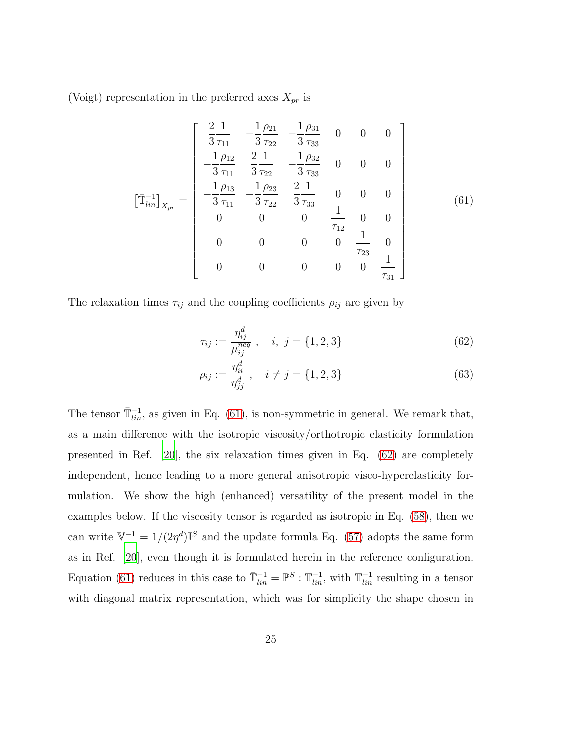(Voigt) representation in the preferred axes  $X_{pr}$  is

<span id="page-24-0"></span>
$$
\begin{bmatrix}\n\frac{2}{3}\frac{1}{\tau_{11}} & -\frac{1}{3}\frac{\rho_{21}}{\tau_{22}} & -\frac{1}{3}\frac{\rho_{31}}{\tau_{33}} & 0 & 0 & 0 \\
-\frac{1}{3}\frac{\rho_{12}}{\tau_{11}} & \frac{2}{3}\frac{1}{\tau_{22}} & -\frac{1}{3}\frac{\rho_{32}}{\tau_{33}} & 0 & 0 & 0 \\
-\frac{1}{3}\frac{\rho_{13}}{\tau_{11}} & -\frac{1}{3}\frac{\rho_{23}}{\tau_{22}} & \frac{2}{3}\frac{1}{\tau_{33}} & 0 & 0 & 0 \\
0 & 0 & 0 & \frac{1}{\tau_{12}} & 0 & 0 \\
0 & 0 & 0 & 0 & \frac{1}{\tau_{23}} & 0 \\
0 & 0 & 0 & 0 & \frac{1}{\tau_{23}} & 0 \\
0 & 0 & 0 & 0 & 0 & \frac{1}{\tau_{31}}\n\end{bmatrix}
$$
\n(61)

The relaxation times  $\tau_{ij}$  and the coupling coefficients  $\rho_{ij}$  are given by

<span id="page-24-1"></span>
$$
\tau_{ij} := \frac{\eta_{ij}^d}{\mu_{ij}^{neq}} , \quad i, j = \{1, 2, 3\}
$$
\n(62)

$$
\rho_{ij} := \frac{\eta_{ii}^d}{\eta_{jj}^d}, \quad i \neq j = \{1, 2, 3\}
$$
\n(63)

The tensor  $\overline{\mathbb{T}}_{lin}^{-1}$ , as given in Eq. [\(61\)](#page-24-0), is non-symmetric in general. We remark that, as a main difference with the isotropic viscosity/orthotropic elasticity formulation presented in Ref. [\[20\]](#page-50-0), the six relaxation times given in Eq.  $(62)$  are completely independent, hence leading to a more general anisotropic visco-hyperelasticity formulation. We show the high (enhanced) versatility of the present model in the examples below. If the viscosity tensor is regarded as isotropic in Eq. [\(58\)](#page-22-0), then we can write  $V^{-1} = 1/(2\eta^d)\mathbb{I}^S$  and the update formula Eq. [\(57\)](#page-21-0) adopts the same form as in Ref. [\[20\]](#page-50-0), even though it is formulated herein in the reference configuration. Equation [\(61\)](#page-24-0) reduces in this case to  $\overline{\mathbb{T}}_{lin}^{-1} = \mathbb{P}^S : \mathbb{T}_{lin}^{-1}$ , with  $\mathbb{T}_{lin}^{-1}$  resulting in a tensor with diagonal matrix representation, which was for simplicity the shape chosen in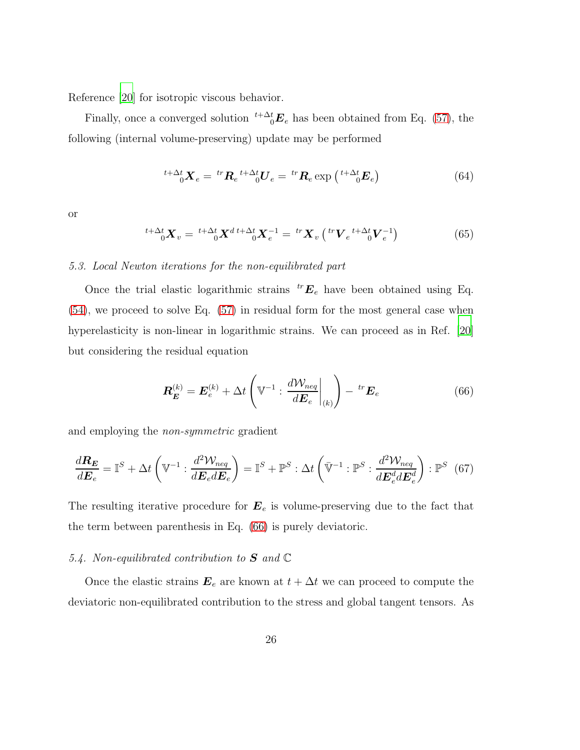Reference [\[20](#page-50-0)] for isotropic viscous behavior.

Finally, once a converged solution  $t^{+\Delta t}E_e$  has been obtained from Eq. [\(57\)](#page-21-0), the following (internal volume-preserving) update may be performed

$$
{}^{t+\Delta t}_{0} \mathbf{X}_{e} = {}^{tr} \mathbf{R}_{e} {}^{t+\Delta t} {}^{0} \mathbf{U}_{e} = {}^{tr} \mathbf{R}_{e} \exp\left({}^{t+\Delta t} {}^{t} \mathbf{E}_{e}\right) \tag{64}
$$

<span id="page-25-2"></span>or

$$
{}^{t+\Delta t}_{0} \mathbf{X}_{v} = {}^{t+\Delta t}_{0} \mathbf{X}^{d t+\Delta t}_{0} \mathbf{X}_{e}^{-1} = {}^{tr} \mathbf{X}_{v} \left( {}^{tr} \mathbf{V}_{e} {}^{t+\Delta t}_{0} \mathbf{V}_{e}^{-1} \right)
$$
(65)

#### *5.3. Local Newton iterations for the non-equilibrated part*

Once the trial elastic logarithmic strains  ${}^{tr}E_e$  have been obtained using Eq. [\(54\)](#page-21-1), we proceed to solve Eq. [\(57\)](#page-21-0) in residual form for the most general case when hyperelasticity is non-linear in logarithmic strains. We can proceed as in Ref. [\[20](#page-50-0)] but considering the residual equation

<span id="page-25-1"></span><span id="page-25-0"></span>
$$
\boldsymbol{R}_{\boldsymbol{E}}^{(k)} = \boldsymbol{E}_e^{(k)} + \Delta t \left( \boldsymbol{\mathbb{V}}^{-1} : \left. \frac{d \mathcal{W}_{neq}}{d \boldsymbol{E}_e} \right|_{(k)} \right) - \, {}^{tr} \boldsymbol{E}_e \tag{66}
$$

and employing the *non-symmetric* gradient

$$
\frac{d\mathbf{R}_E}{d\mathbf{E}_e} = \mathbb{I}^S + \Delta t \left( \mathbb{V}^{-1} : \frac{d^2 \mathcal{W}_{neq}}{d\mathbf{E}_e d\mathbf{E}_e} \right) = \mathbb{I}^S + \mathbb{P}^S : \Delta t \left( \bar{\mathbb{V}}^{-1} : \mathbb{P}^S : \frac{d^2 \mathcal{W}_{neq}}{d\mathbf{E}_e^d d\mathbf{E}_e^d} \right) : \mathbb{P}^S \tag{67}
$$

The resulting iterative procedure for  $E_e$  is volume-preserving due to the fact that the term between parenthesis in Eq. [\(66\)](#page-25-0) is purely deviatoric.

# *5.4. Non-equilibrated contribution to* S *and* C

Once the elastic strains  $\mathbf{E}_e$  are known at  $t + \Delta t$  we can proceed to compute the deviatoric non-equilibrated contribution to the stress and global tangent tensors. As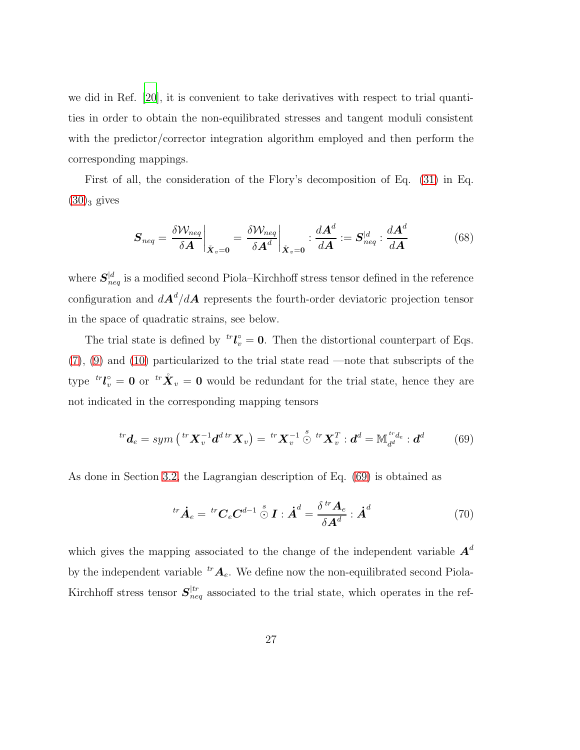we did in Ref. [\[20](#page-50-0)], it is convenient to take derivatives with respect to trial quantities in order to obtain the non-equilibrated stresses and tangent moduli consistent with the predictor/corrector integration algorithm employed and then perform the corresponding mappings.

First of all, the consideration of the Flory's decomposition of Eq. [\(31\)](#page-15-1) in Eq.  $(30)_3$  $(30)_3$  gives

<span id="page-26-2"></span>
$$
\boldsymbol{S}_{neq} = \frac{\delta \mathcal{W}_{neq}}{\delta \boldsymbol{A}} \bigg|_{\hat{\boldsymbol{X}}_v = \boldsymbol{0}} = \frac{\delta \mathcal{W}_{neq}}{\delta \boldsymbol{A}^d} \bigg|_{\hat{\boldsymbol{X}}_v = \boldsymbol{0}} : \frac{d \boldsymbol{A}^d}{d \boldsymbol{A}} := \boldsymbol{S}_{neq}^{|d} : \frac{d \boldsymbol{A}^d}{d \boldsymbol{A}} \tag{68}
$$

where  $S_{neq}^{\mid d}$  is a modified second Piola–Kirchhoff stress tensor defined in the reference configuration and  $dA^d/dA$  represents the fourth-order deviatoric projection tensor in the space of quadratic strains, see below.

The trial state is defined by  ${}^{tr}I_{\nu}^{\circ} = 0$ . Then the distortional counterpart of Eqs. [\(7\)](#page-8-1), [\(9\)](#page-9-0) and [\(10\)](#page-9-1) particularized to the trial state read —note that subscripts of the type  ${}^{tr} \mathcal{L}^{\circ}_{v} = \mathbf{0}$  or  ${}^{tr} \mathring{\mathbf{X}}_{v} = \mathbf{0}$  would be redundant for the trial state, hence they are not indicated in the corresponding mapping tensors

$$
{}^{tr}\boldsymbol{d}_{e} = \operatorname{sym} \left( {}^{tr} \boldsymbol{X}_{v}^{-1} \boldsymbol{d}^{d} \, {}^{tr} \boldsymbol{X}_{v} \right) = \, {}^{tr} \boldsymbol{X}_{v}^{-1} \stackrel{s}{\odot} \, {}^{tr} \boldsymbol{X}_{v}^{T} : \boldsymbol{d}^{d} = \mathbb{M}_{d^{d}}^{{}^{tr} \boldsymbol{d}_{e}} : \boldsymbol{d}^{d} \tag{69}
$$

As done in Section [3.2,](#page-13-3) the Lagrangian description of Eq. [\(69\)](#page-26-0) is obtained as

<span id="page-26-1"></span><span id="page-26-0"></span>
$$
{}^{tr}\dot{\boldsymbol{A}}_e = {}^{tr}\boldsymbol{C}_e \boldsymbol{C}^{d-1} \stackrel{s}{\odot} \boldsymbol{I} : \dot{\boldsymbol{A}}^d = \frac{\delta {}^{tr}\boldsymbol{A}_e}{\delta \boldsymbol{A}^d} : \dot{\boldsymbol{A}}^d \tag{70}
$$

which gives the mapping associated to the change of the independent variable  $A<sup>d</sup>$ by the independent variable  ${}^{tr}A_e$ . We define now the non-equilibrated second Piola-Kirchhoff stress tensor  $S_{neq}^{tr}$  associated to the trial state, which operates in the ref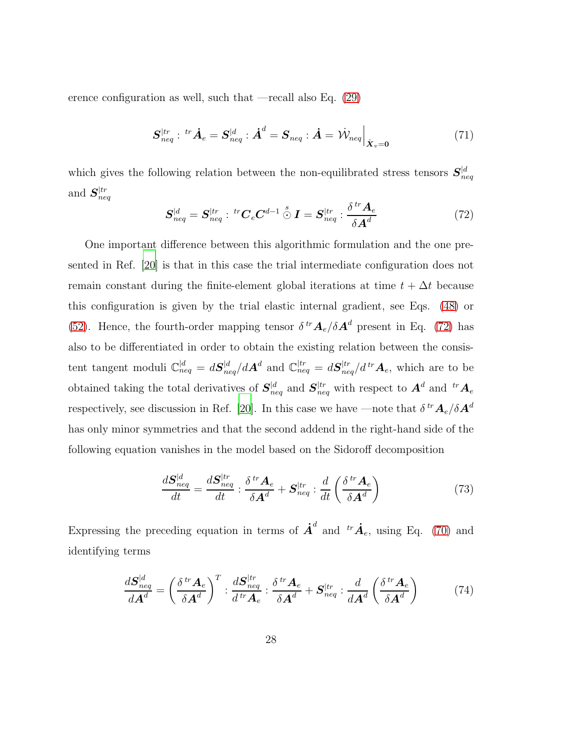erence configuration as well, such that —recall also Eq. [\(29\)](#page-14-1)

$$
\boldsymbol{S}_{neq}^{|tr}: {}^{tr}\dot{\boldsymbol{A}}_e = \boldsymbol{S}_{neq}^{|d}: \dot{\boldsymbol{A}}^d = \boldsymbol{S}_{neq}: \dot{\boldsymbol{A}} = \dot{\mathcal{W}}_{neq} \Big|_{\mathring{\boldsymbol{X}}_v = \mathbf{0}} \tag{71}
$$

<span id="page-27-0"></span>which gives the following relation between the non-equilibrated stress tensors  $S_{neq}^{\vert d}$ and  $\boldsymbol{S}^{|tr}_{ne}$  $\overline{neq}$  $\sim t$  $\lambda$ 

$$
\boldsymbol{S}_{neq}^{|d} = \boldsymbol{S}_{neq}^{|tr} : {}^{tr} \boldsymbol{C}_e \boldsymbol{C}^{d-1} \stackrel{s}{\odot} \boldsymbol{I} = \boldsymbol{S}_{neq}^{|tr} : \frac{\delta {}^{tr} \boldsymbol{A}_e}{\delta \boldsymbol{A}^d} \tag{72}
$$

One important difference between this algorithmic formulation and the one presented in Ref. [\[20](#page-50-0)] is that in this case the trial intermediate configuration does not remain constant during the finite-element global iterations at time  $t + \Delta t$  because this configuration is given by the trial elastic internal gradient, see Eqs. [\(48\)](#page-19-2) or [\(52\)](#page-20-1). Hence, the fourth-order mapping tensor  $\delta^{tr} A_e/\delta A^d$  present in Eq. [\(72\)](#page-27-0) has also to be differentiated in order to obtain the existing relation between the consistent tangent moduli  $\mathbb{C}_{neq}^{|d|} = dS_{neq}^{|d|}/dA^d$  and  $\mathbb{C}_{neq}^{|tr|} = dS_{neq}^{|tr|}/dA^tA_e$ , which are to be obtained taking the total derivatives of  $S_{neq}^{|d}$  and  $S_{neq}^{|tr}$  with respect to  $A^d$  and  ${}^{tr}A_e$ respectively, see discussion in Ref. [\[20\]](#page-50-0). In this case we have —note that  $\delta^{tr} A_e/\delta A^d$ has only minor symmetries and that the second addend in the right-hand side of the following equation vanishes in the model based on the Sidoroff decomposition

$$
\frac{d\mathbf{S}_{neq}^{|d}}{dt} = \frac{d\mathbf{S}_{neq}^{|tr}}{dt} : \frac{\delta^{tr}\mathbf{A}_e}{\delta\mathbf{A}^d} + \mathbf{S}_{neq}^{|tr} : \frac{d}{dt} \left(\frac{\delta^{tr}\mathbf{A}_e}{\delta\mathbf{A}^d}\right)
$$
(73)

Expressing the preceding equation in terms of  $\vec{A}^d$  and  ${}^{tr}\dot{A}_e$ , using Eq. [\(70\)](#page-26-1) and identifying terms

<span id="page-27-1"></span>
$$
\frac{d\mathbf{S}_{neq}^{|d}}{d\mathbf{A}^d} = \left(\frac{\delta^{tr}\mathbf{A}_e}{\delta\mathbf{A}^d}\right)^T : \frac{d\mathbf{S}_{neq}^{|tr}}{d^{tr}\mathbf{A}_e} : \frac{\delta^{tr}\mathbf{A}_e}{\delta\mathbf{A}^d} + \mathbf{S}_{neq}^{|tr} : \frac{d}{d\mathbf{A}^d} \left(\frac{\delta^{tr}\mathbf{A}_e}{\delta\mathbf{A}^d}\right)
$$
(74)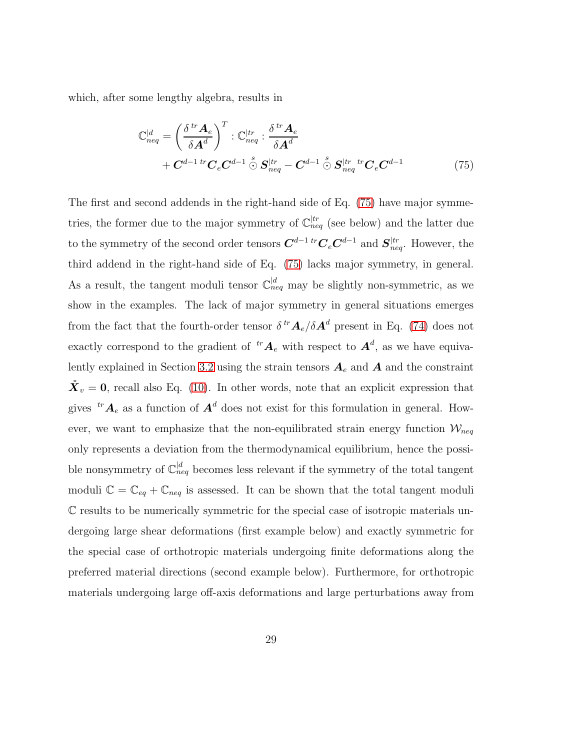which, after some lengthy algebra, results in

<span id="page-28-0"></span>
$$
\mathbb{C}_{neq}^{d} = \left(\frac{\delta^{tr}\mathbf{A}_e}{\delta \mathbf{A}^d}\right)^T : \mathbb{C}_{neq}^{tr} : \frac{\delta^{tr}\mathbf{A}_e}{\delta \mathbf{A}^d} + \mathbf{C}^{d-1 \ tr}\mathbf{C}_e \mathbf{C}^{d-1} \stackrel{s}{\odot} \mathbf{S}_{neq}^{tr} - \mathbf{C}^{d-1} \stackrel{s}{\odot} \mathbf{S}_{neq}^{tr} {}^{tr}\mathbf{C}_e \mathbf{C}^{d-1}
$$
(75)

The first and second addends in the right-hand side of Eq. [\(75\)](#page-28-0) have major symmetries, the former due to the major symmetry of  $\mathbb{C}_{neq}^{tr}$  (see below) and the latter due to the symmetry of the second order tensors  $C^{d-1 \ tr}C_eC^{d-1}$  and  $S_{neq}^{tr}$ . However, the third addend in the right-hand side of Eq. [\(75\)](#page-28-0) lacks major symmetry, in general. As a result, the tangent moduli tensor  $\mathbb{C}_{neq}^{d}$  may be slightly non-symmetric, as we show in the examples. The lack of major symmetry in general situations emerges from the fact that the fourth-order tensor  $\delta^{tr} A_e/\delta A^d$  present in Eq. [\(74\)](#page-27-1) does not exactly correspond to the gradient of  ${}^{tr}A_e$  with respect to  $A^d$ , as we have equiva-lently explained in Section [3.2](#page-13-3) using the strain tensors  $A_e$  and  $A$  and the constraint  $\mathring{\mathbf{X}}_v = \mathbf{0}$ , recall also Eq. [\(10\)](#page-9-1). In other words, note that an explicit expression that gives  ${}^{tr}A_e$  as a function of  $A^d$  does not exist for this formulation in general. However, we want to emphasize that the non-equilibrated strain energy function  $W_{\text{neg}}$ only represents a deviation from the thermodynamical equilibrium, hence the possible nonsymmetry of  $\mathbb{C}_{neq}^{\vert d}$  becomes less relevant if the symmetry of the total tangent moduli  $\mathbb{C} = \mathbb{C}_{eq} + \mathbb{C}_{neq}$  is assessed. It can be shown that the total tangent moduli C results to be numerically symmetric for the special case of isotropic materials undergoing large shear deformations (first example below) and exactly symmetric for the special case of orthotropic materials undergoing finite deformations along the preferred material directions (second example below). Furthermore, for orthotropic materials undergoing large off-axis deformations and large perturbations away from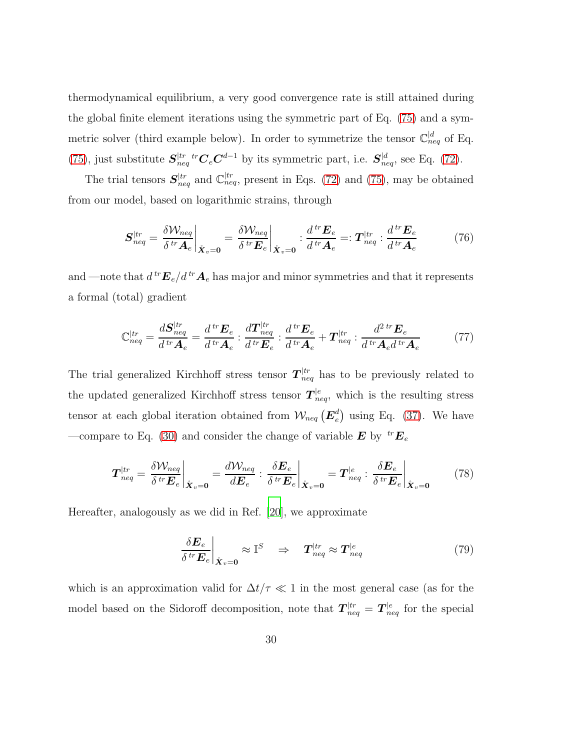thermodynamical equilibrium, a very good convergence rate is still attained during the global finite element iterations using the symmetric part of Eq. [\(75\)](#page-28-0) and a symmetric solver (third example below). In order to symmetrize the tensor  $\mathbb{C}_{neq}^{\mid d}$  of Eq. [\(75\)](#page-28-0), just substitute  $S_{ne}^{tr}$  $\int_{neq}^{tr} tr \mathbf{C}_{e} \mathbf{C}^{d-1}$  by its symmetric part, i.e.  $\mathbf{S}_{neq}^{d}$ , see Eq. [\(72\)](#page-27-0).

The trial tensors  $S_{neq}^{tr}$  and  $\mathbb{C}_{neq}^{tr}$ , present in Eqs. [\(72\)](#page-27-0) and [\(75\)](#page-28-0), may be obtained from our model, based on logarithmic strains, through

<span id="page-29-1"></span>
$$
\boldsymbol{S}_{neq}^{|tr} = \frac{\delta \mathcal{W}_{neq}}{\delta^{\, tr} \boldsymbol{A}_e} \bigg|_{\hat{\boldsymbol{X}}_v = \mathbf{0}} = \frac{\delta \mathcal{W}_{neq}}{\delta^{\, tr} \boldsymbol{E}_e} \bigg|_{\hat{\boldsymbol{X}}_v = \mathbf{0}} : \frac{d^{\, tr} \boldsymbol{E}_e}{d^{\, tr} \boldsymbol{A}_e} =: \boldsymbol{T}_{neq}^{|tr} : \frac{d^{\, tr} \boldsymbol{E}_e}{d^{\, tr} \boldsymbol{A}_e} \tag{76}
$$

and —note that  $d^{\text{tr}}\mathbf{E}_e/d^{\text{tr}}\mathbf{A}_e$  has major and minor symmetries and that it represents a formal (total) gradient

<span id="page-29-3"></span>
$$
\mathbb{C}_{neq}^{tr} = \frac{d\mathbf{S}_{neq}^{tr}}{d^{tr}\mathbf{A}_e} = \frac{d^{tr}\mathbf{E}_e}{d^{tr}\mathbf{A}_e} : \frac{d\mathbf{T}_{neq}^{tr}}{d^{tr}\mathbf{E}_e} : \frac{d^{tr}\mathbf{E}_e}{d^{tr}\mathbf{A}_e} + \mathbf{T}_{neq}^{tr} : \frac{d^{2tr}\mathbf{E}_e}{d^{tr}\mathbf{A}_e d^{tr}\mathbf{A}_e} \tag{77}
$$

The trial generalized Kirchhoff stress tensor  $T_{neq}^{tr}$  has to be previously related to the updated generalized Kirchhoff stress tensor  $T_{neq}^{|e}$ , which is the resulting stress tensor at each global iteration obtained from  $\mathcal{W}_{neq}$   $(\mathbf{E}_{e}^{d})$  $_e^d$ ) using Eq. [\(37\)](#page-17-3). We have —compare to Eq. [\(30\)](#page-14-0) and consider the change of variable  $\bm{E}$  by  ${}^{tr}\bm{E}_e$ 

$$
\boldsymbol{T}_{neq}^{|tr} = \frac{\delta \mathcal{W}_{neq}}{\delta^{\ tr} \boldsymbol{E}_{e}} \bigg|_{\mathring{\boldsymbol{X}}_{v} = \boldsymbol{0}} = \frac{d \mathcal{W}_{neq}}{d \boldsymbol{E}_{e}} : \frac{\delta \boldsymbol{E}_{e}}{\delta^{\ tr} \boldsymbol{E}_{e}} \bigg|_{\mathring{\boldsymbol{X}}_{v} = \boldsymbol{0}} = \boldsymbol{T}_{neq}^{|e} : \frac{\delta \boldsymbol{E}_{e}}{\delta^{\ tr} \boldsymbol{E}_{e}} \bigg|_{\mathring{\boldsymbol{X}}_{v} = \boldsymbol{0}} \tag{78}
$$

Hereafter, analogously as we did in Ref. [\[20](#page-50-0)], we approximate

<span id="page-29-2"></span><span id="page-29-0"></span>
$$
\left. \frac{\delta \boldsymbol{E}_e}{\delta^{\, tr} \boldsymbol{E}_e} \right|_{\hat{\boldsymbol{X}}_v = \mathbf{0}} \approx \mathbb{I}^S \quad \Rightarrow \quad \boldsymbol{T}_{neq}^{|tr} \approx \boldsymbol{T}_{neq}^{|e} \tag{79}
$$

which is an approximation valid for  $\Delta t/\tau \ll 1$  in the most general case (as for the model based on the Sidoroff decomposition, note that  $T_{neq}^{|tr} = T_{neq}^{|e|}$  for the special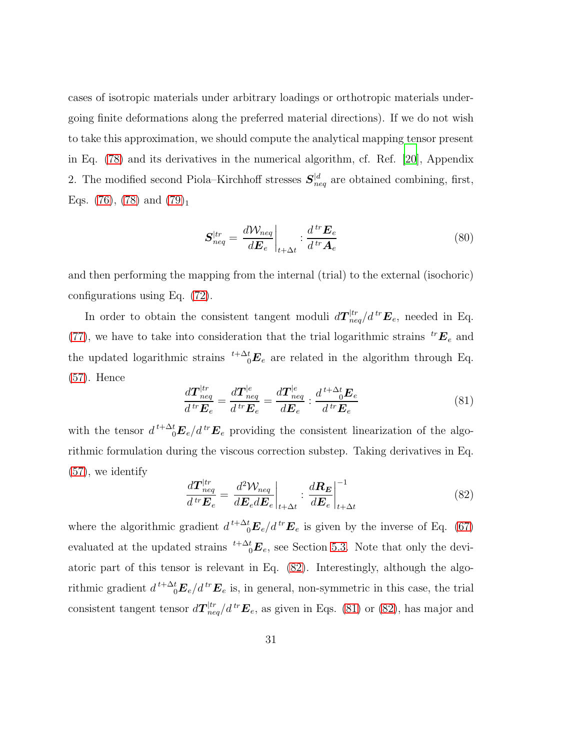cases of isotropic materials under arbitrary loadings or orthotropic materials undergoing finite deformations along the preferred material directions). If we do not wish to take this approximation, we should compute the analytical mapping tensor present in Eq. [\(78\)](#page-29-0) and its derivatives in the numerical algorithm, cf. Ref. [\[20\]](#page-50-0), Appendix 2. The modified second Piola–Kirchhoff stresses  $S_{neq}^{|d|}$  are obtained combining, first, Eqs.  $(76)$ ,  $(78)$  and  $(79)_1$ 

$$
\mathbf{S}_{neq}^{|tr} = \frac{d\mathcal{W}_{neq}}{d\mathbf{E}_e} \bigg|_{t+\Delta t} : \frac{d^{tr}\mathbf{E}_e}{d^{tr}\mathbf{A}_e} \tag{80}
$$

and then performing the mapping from the internal (trial) to the external (isochoric) configurations using Eq. [\(72\)](#page-27-0).

In order to obtain the consistent tangent moduli  $d\mathcal{T}^{[tr}_{neq}/d^{tr}\mathbf{E}_e$ , needed in Eq. [\(77\)](#page-29-3), we have to take into consideration that the trial logarithmic strains  ${}^{tr}E_e$  and the updated logarithmic strains  $t^{+\Delta t}E_e$  are related in the algorithm through Eq. [\(57\)](#page-21-0). Hence

<span id="page-30-1"></span>
$$
\frac{d\boldsymbol{T}_{neq}^{|tr}}{d^{tr}\boldsymbol{E}_e} = \frac{d\boldsymbol{T}_{neq}^{|e}}{d^{tr}\boldsymbol{E}_e} = \frac{d\boldsymbol{T}_{neq}^{|e}}{d\boldsymbol{E}_e} : \frac{d^{t+\Delta t}d\boldsymbol{E}_e}{d^{tr}\boldsymbol{E}_e}
$$
\n(81)

with the tensor  $d^{t+\Delta t}E_e/d^{tr}E_e$  providing the consistent linearization of the algorithmic formulation during the viscous correction substep. Taking derivatives in Eq. [\(57\)](#page-21-0), we identify

<span id="page-30-0"></span>
$$
\frac{d\boldsymbol{T}_{neq}^{ltr}}{d^{tr}\boldsymbol{E}_e} = \frac{d^2 \mathcal{W}_{neq}}{d\boldsymbol{E}_e d\boldsymbol{E}_e}\bigg|_{t+\Delta t} : \frac{d\boldsymbol{R}_E}{d\boldsymbol{E}_e}\bigg|_{t+\Delta t}^{-1}
$$
\n(82)

where the algorithmic gradient  $d^{t+\Delta t}E_e/d^{tr}E_e$  is given by the inverse of Eq. [\(67\)](#page-25-1) evaluated at the updated strains  $t^{+ \Delta t} E_e$ , see Section [5.3.](#page-25-2) Note that only the deviatoric part of this tensor is relevant in Eq. [\(82\)](#page-30-0). Interestingly, although the algorithmic gradient  $d^{t+\Delta t}E_e/d^{tr}E_e$  is, in general, non-symmetric in this case, the trial consistent tangent tensor  $d\mathcal{T}^{[tr}_{neq}/d^{tr}\mathbf{E}_e$ , as given in Eqs. [\(81\)](#page-30-1) or [\(82\)](#page-30-0), has major and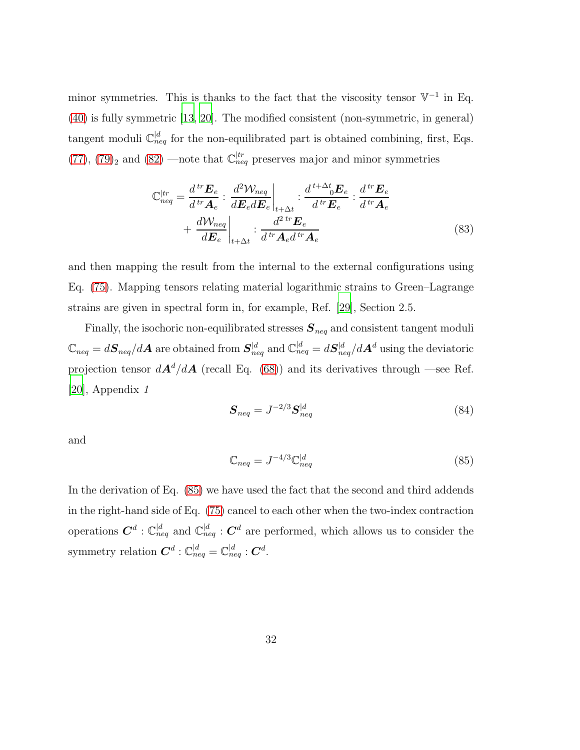minor symmetries. This is thanks to the fact that the viscosity tensor  $\mathbb{V}^{-1}$  in Eq. [\(40\)](#page-17-1) is fully symmetric [\[13,](#page-49-2) [20](#page-50-0)]. The modified consistent (non-symmetric, in general) tangent moduli  $\mathbb{C}_{neq}^{d}$  for the non-equilibrated part is obtained combining, first, Eqs.  $(77)$ ,  $(79)_2$  and  $(82)$  —note that  $\mathbb{C}_{neq}^{tr}$  preserves major and minor symmetries

$$
\mathbb{C}_{neq}^{tr} = \frac{d^{tr} \mathbf{E}_e}{d^{tr} \mathbf{A}_e} : \frac{d^2 \mathcal{W}_{neq}}{d \mathbf{E}_e d \mathbf{E}_e} \Big|_{t+\Delta t} : \frac{d^{t+\Delta t} \mathbf{E}_e}{d^{tr} \mathbf{E}_e} : \frac{d^{tr} \mathbf{E}_e}{d^{tr} \mathbf{A}_e} + \frac{d \mathcal{W}_{neq}}{d \mathbf{E}_e} \Big|_{t+\Delta t} : \frac{d^{2 tr} \mathbf{E}_e}{d^{tr} \mathbf{A}_e d^{tr} \mathbf{A}_e} \tag{83}
$$

and then mapping the result from the internal to the external configurations using Eq. [\(75\)](#page-28-0). Mapping tensors relating material logarithmic strains to Green–Lagrange strains are given in spectral form in, for example, Ref. [\[29\]](#page-51-1), Section 2.5.

Finally, the isochoric non-equilibrated stresses  $S_{neq}$  and consistent tangent moduli  $\mathbb{C}_{neq}=d\bm{S}_{neq}/d\bm{A}$  are obtained from  $\bm{S}^{|d}_{neq}$  and  $\mathbb{C}^{|d}_{neq}=d\bm{S}^{|d}_{neq}/d\bm{A}^{d}$  using the deviatoric projection tensor  $dA^d/dA$  (recall Eq. [\(68\)](#page-26-2)) and its derivatives through —see Ref. [\[20\]](#page-50-0), Appendix *1*

$$
\mathbf{S}_{neq} = J^{-2/3} \mathbf{S}_{neq}^{|d} \tag{84}
$$

<span id="page-31-0"></span>and

$$
\mathbb{C}_{neq} = J^{-4/3} \mathbb{C}_{neq}^{|d} \tag{85}
$$

In the derivation of Eq. [\(85\)](#page-31-0) we have used the fact that the second and third addends in the right-hand side of Eq. [\(75\)](#page-28-0) cancel to each other when the two-index contraction operations  $\mathbf{C}^d$  :  $\mathbb{C}_{n eq}^d$  and  $\mathbb{C}_{n eq}^d$  :  $\mathbf{C}^d$  are performed, which allows us to consider the symmetry relation  $\boldsymbol{C}^d: \mathbb{C}^{d}_{neq} = \mathbb{C}^{d}_{neq}: \boldsymbol{C}^d.$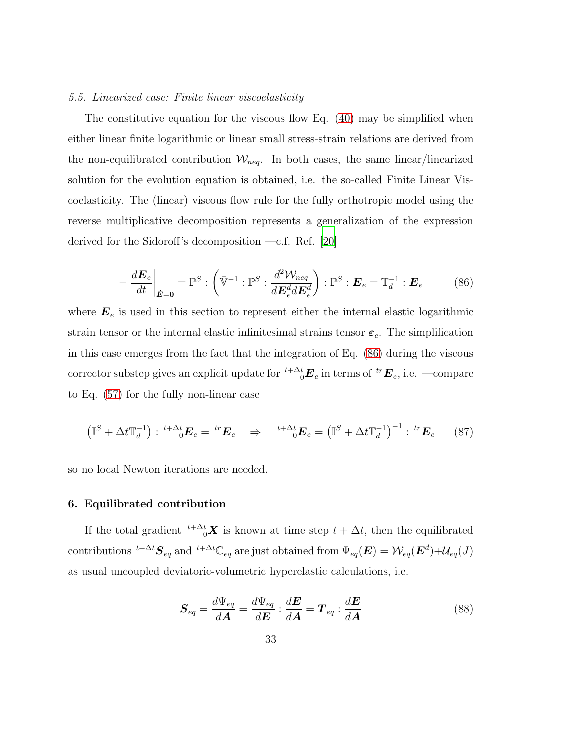#### *5.5. Linearized case: Finite linear viscoelasticity*

The constitutive equation for the viscous flow Eq. [\(40\)](#page-17-1) may be simplified when either linear finite logarithmic or linear small stress-strain relations are derived from the non-equilibrated contribution  $\mathcal{W}_{neq}$ . In both cases, the same linear/linearized solution for the evolution equation is obtained, i.e. the so-called Finite Linear Viscoelasticity. The (linear) viscous flow rule for the fully orthotropic model using the reverse multiplicative decomposition represents a generalization of the expression derived for the Sidoroff's decomposition —c.f. Ref. [\[20](#page-50-0)]

<span id="page-32-0"></span>
$$
-\frac{d\boldsymbol{E}_e}{dt}\bigg|_{\dot{\boldsymbol{E}}=\boldsymbol{0}} = \mathbb{P}^S : \left(\bar{\mathbb{V}}^{-1} : \mathbb{P}^S : \frac{d^2 \mathcal{W}_{neq}}{d\boldsymbol{E}_e^d d\boldsymbol{E}_e^d}\right) : \mathbb{P}^S : \boldsymbol{E}_e = \mathbb{T}_d^{-1} : \boldsymbol{E}_e \tag{86}
$$

where  $E_e$  is used in this section to represent either the internal elastic logarithmic strain tensor or the internal elastic infinitesimal strains tensor  $\varepsilon_e$ . The simplification in this case emerges from the fact that the integration of Eq. [\(86\)](#page-32-0) during the viscous corrector substep gives an explicit update for  $\sqrt[t+\Delta^t_b]{\bm{E}}_e$  in terms of  $\sqrt[tr]{{\bm{E}}}_e$ , i.e. —compare to Eq. [\(57\)](#page-21-0) for the fully non-linear case

$$
\left(\mathbb{I}^S + \Delta t \mathbb{T}_d^{-1}\right) : {}^{t+\Delta t} \mathbf{E}_e = {}^{tr} \mathbf{E}_e \quad \Rightarrow \quad {}^{t+\Delta t} \mathbf{E}_e = \left(\mathbb{I}^S + \Delta t \mathbb{T}_d^{-1}\right)^{-1} : {}^{tr} \mathbf{E}_e \tag{87}
$$

so no local Newton iterations are needed.

#### 6. Equilibrated contribution

If the total gradient  $t^{+\Delta t}$ <sub>0</sub> $\boldsymbol{X}$  is known at time step  $t + \Delta t$ , then the equilibrated contributions  ${}^{t+\Delta t}S_{eq}$  and  ${}^{t+\Delta t}C_{eq}$  are just obtained from  $\Psi_{eq}(\bm{E}) = \mathcal{W}_{eq}(\bm{E}^d) + \mathcal{U}_{eq}(J)$ as usual uncoupled deviatoric-volumetric hyperelastic calculations, i.e.

$$
\boldsymbol{S}_{eq} = \frac{d\Psi_{eq}}{d\boldsymbol{A}} = \frac{d\Psi_{eq}}{d\boldsymbol{E}} : \frac{d\boldsymbol{E}}{d\boldsymbol{A}} = \boldsymbol{T}_{eq} : \frac{d\boldsymbol{E}}{d\boldsymbol{A}} \tag{88}
$$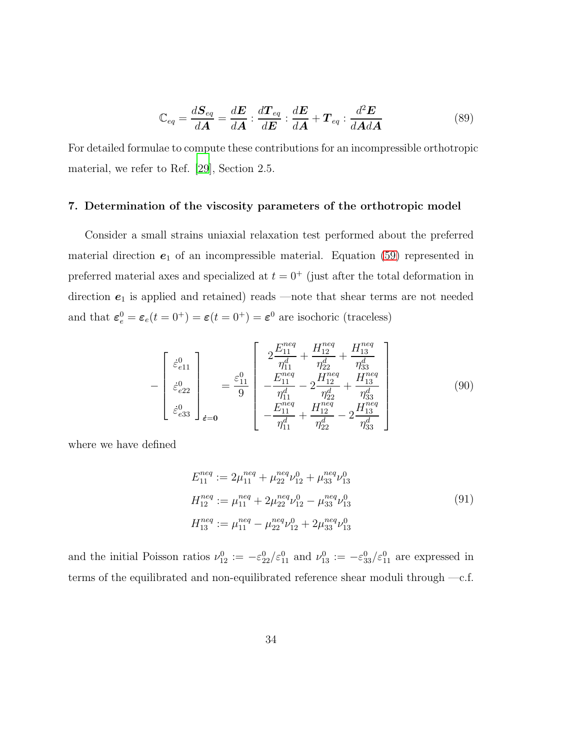$$
\mathbb{C}_{eq} = \frac{d\mathbf{S}_{eq}}{d\mathbf{A}} = \frac{d\mathbf{E}}{d\mathbf{A}} : \frac{d\mathbf{T}_{eq}}{d\mathbf{E}} : \frac{d\mathbf{E}}{d\mathbf{A}} + \mathbf{T}_{eq} : \frac{d^2\mathbf{E}}{d\mathbf{A}d\mathbf{A}}
$$
(89)

For detailed formulae to compute these contributions for an incompressible orthotropic material, we refer to Ref. [\[29\]](#page-51-1), Section 2.5.

#### <span id="page-33-0"></span>7. Determination of the viscosity parameters of the orthotropic model

<span id="page-33-1"></span>Consider a small strains uniaxial relaxation test performed about the preferred material direction  $e_1$  of an incompressible material. Equation [\(59\)](#page-23-0) represented in preferred material axes and specialized at  $t = 0^+$  (just after the total deformation in direction  $e_1$  is applied and retained) reads —note that shear terms are not needed and that  $\varepsilon_e^0 = \varepsilon_e(t = 0^+) = \varepsilon(t = 0^+) = \varepsilon^0$  are isochoric (traceless)

$$
-\begin{bmatrix} \dot{\varepsilon}_{e11}^{0} \\ \dot{\varepsilon}_{e22}^{0} \\ \dot{\varepsilon}_{e33}^{0} \end{bmatrix}_{\dot{\varepsilon}=0} = \frac{\varepsilon_{11}^{0}}{9} \begin{bmatrix} 2\frac{E_{11}^{neq}}{\eta_{11}^{d}} + \frac{H_{12}^{neq}}{\eta_{22}^{d}} + \frac{H_{13}^{neq}}{\eta_{33}^{d}} \\ -\frac{E_{11}^{neq}}{\eta_{11}^{d}} - 2\frac{H_{12}^{neq}}{\eta_{22}^{d}} + \frac{H_{13}^{neq}}{\eta_{33}^{d}} \\ -\frac{E_{11}^{neq}}{\eta_{11}^{de}} + \frac{H_{12}^{neq}}{\eta_{22}^{de}} - 2\frac{H_{13}^{neq}}{\eta_{33}^{de}} \end{bmatrix}
$$
(90)

where we have defined

<span id="page-33-2"></span>
$$
E_{11}^{neq} := 2\mu_{11}^{neq} + \mu_{22}^{neq}\nu_{12}^{0} + \mu_{33}^{neq}\nu_{13}^{0}
$$
  
\n
$$
H_{12}^{neq} := \mu_{11}^{neq} + 2\mu_{22}^{neq}\nu_{12}^{0} - \mu_{33}^{neq}\nu_{13}^{0}
$$
  
\n
$$
H_{13}^{neq} := \mu_{11}^{neq} - \mu_{22}^{neq}\nu_{12}^{0} + 2\mu_{33}^{neq}\nu_{13}^{0}
$$
  
\n(91)

and the initial Poisson ratios  $\nu_{12}^0 := -\varepsilon_{22}^0/\varepsilon_{11}^0$  and  $\nu_{13}^0 := -\varepsilon_{33}^0/\varepsilon_{11}^0$  are expressed in terms of the equilibrated and non-equilibrated reference shear moduli through —c.f.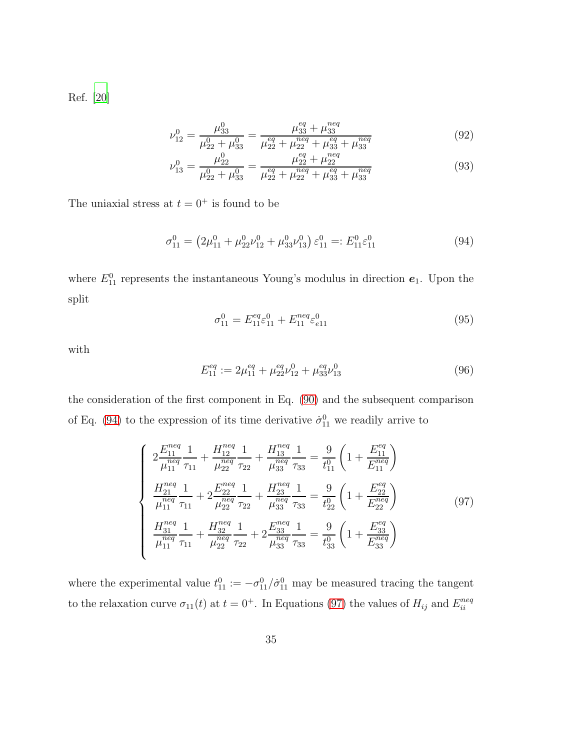Ref. [\[20\]](#page-50-0)

$$
\nu_{12}^0 = \frac{\mu_{33}^0}{\mu_{22}^0 + \mu_{33}^0} = \frac{\mu_{33}^{eq} + \mu_{33}^{neq}}{\mu_{22}^{eq} + \mu_{22}^{neq} + \mu_{33}^{eq} + \mu_{33}^{neq}}
$$
(92)

<span id="page-34-0"></span>
$$
\nu_{13}^0 = \frac{\mu_{22}^0}{\mu_{22}^0 + \mu_{33}^0} = \frac{\mu_{22}^{eq} + \mu_{22}^{neq}}{\mu_{22}^{eq} + \mu_{22}^{neq} + \mu_{33}^{eq} + \mu_{33}^{neq}}
$$
(93)

The uniaxial stress at  $t = 0^+$  is found to be

$$
\sigma_{11}^0 = \left(2\mu_{11}^0 + \mu_{22}^0 \nu_{12}^0 + \mu_{33}^0 \nu_{13}^0\right) \varepsilon_{11}^0 =: E_{11}^0 \varepsilon_{11}^0 \tag{94}
$$

where  $E_{11}^0$  represents the instantaneous Young's modulus in direction  $e_1$ . Upon the split

$$
\sigma_{11}^0 = E_{11}^{eq} \varepsilon_{11}^0 + E_{11}^{neq} \varepsilon_{e11}^0 \tag{95}
$$

with

<span id="page-34-1"></span>
$$
E_{11}^{eq} := 2\mu_{11}^{eq} + \mu_{22}^{eq}\nu_{12}^{0} + \mu_{33}^{eq}\nu_{13}^{0}
$$
\n
$$
(96)
$$

the consideration of the first component in Eq. [\(90\)](#page-33-1) and the subsequent comparison of Eq. [\(94\)](#page-34-0) to the expression of its time derivative  $\dot{\sigma}_{11}^0$  we readily arrive to

$$
\begin{cases}\n2\frac{E_{11}^{neq}}{\mu_{11}^{neq}}\frac{1}{\tau_{11}} + \frac{H_{12}^{neq}}{\mu_{22}^{neq}}\frac{1}{\tau_{22}} + \frac{H_{13}^{neq}}{\mu_{33}^{neq}}\frac{1}{\tau_{33}} = \frac{9}{t_{11}^{0}} \left(1 + \frac{E_{11}^{eq}}{E_{11}^{neq}}\right) \\
\frac{H_{21}^{neq}}{\mu_{11}^{neq}}\frac{1}{\tau_{11}} + 2\frac{E_{22}^{neq}}{\mu_{22}^{neq}}\frac{1}{\tau_{22}} + \frac{H_{23}^{neq}}{\mu_{33}^{neq}}\frac{1}{\tau_{33}} = \frac{9}{t_{22}^{0}} \left(1 + \frac{E_{22}^{eq}}{E_{22}^{neq}}\right) \\
\frac{H_{31}^{neq}}{\mu_{11}^{neq}}\frac{1}{\tau_{11}} + \frac{H_{32}^{neq}}{\mu_{22}^{neq}}\frac{1}{\tau_{22}} + 2\frac{E_{33}^{neq}}{\mu_{33}^{neq}}\frac{1}{\tau_{33}} = \frac{9}{t_{33}^{0}} \left(1 + \frac{E_{33}^{eq}}{E_{33}^{neq}}\right)\n\end{cases} \tag{97}
$$

where the experimental value  $t_{11}^0 := -\sigma_{11}^0 / \dot{\sigma}_{11}^0$  may be measured tracing the tangent to the relaxation curve  $\sigma_{11}(t)$  at  $t = 0^+$ . In Equations [\(97\)](#page-34-1) the values of  $H_{ij}$  and  $E_{ii}^{neq}$ ii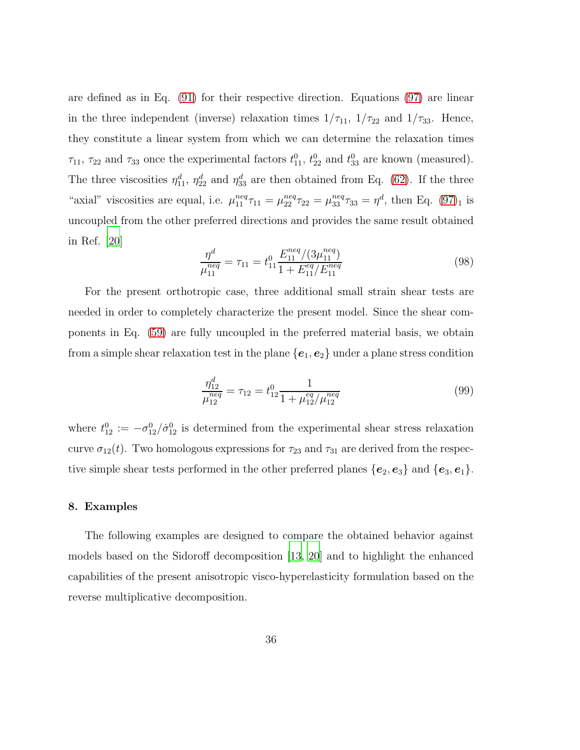are defined as in Eq. [\(91\)](#page-33-2) for their respective direction. Equations [\(97\)](#page-34-1) are linear in the three independent (inverse) relaxation times  $1/\tau_{11}$ ,  $1/\tau_{22}$  and  $1/\tau_{33}$ . Hence, they constitute a linear system from which we can determine the relaxation times  $\tau_{11}$ ,  $\tau_{22}$  and  $\tau_{33}$  once the experimental factors  $t_{11}^0$ ,  $t_{22}^0$  and  $t_{33}^0$  are known (measured). The three viscosities  $\eta_{11}^d$ ,  $\eta_{22}^d$  and  $\eta_{33}^d$  are then obtained from Eq. [\(62\)](#page-24-1). If the three "axial" viscosities are equal, i.e.  $\mu_{11}^{neq} \tau_{11} = \mu_{22}^{neq} \tau_{22} = \mu_{33}^{neq} \tau_{33} = \eta^d$ , then Eq. [\(97\)](#page-34-1)<sub>1</sub> is uncoupled from the other preferred directions and provides the same result obtained in Ref. [\[20](#page-50-0)]

$$
\frac{\eta^d}{\mu_{11}^{neq}} = \tau_{11} = t_{11}^0 \frac{E_{11}^{neq}/(3\mu_{11}^{neq})}{1 + E_{11}^{eq}/E_{11}^{neq}}
$$
\n(98)

For the present orthotropic case, three additional small strain shear tests are needed in order to completely characterize the present model. Since the shear components in Eq. [\(59\)](#page-23-0) are fully uncoupled in the preferred material basis, we obtain from a simple shear relaxation test in the plane  ${e_1, e_2}$  under a plane stress condition

$$
\frac{\eta_{12}^d}{\mu_{12}^{neq}} = \tau_{12} = t_{12}^0 \frac{1}{1 + \mu_{12}^{eq} / \mu_{12}^{neq}}
$$
(99)

where  $t_{12}^0 := -\sigma_{12}^0/\dot{\sigma}_{12}^0$  is determined from the experimental shear stress relaxation curve  $\sigma_{12}(t)$ . Two homologous expressions for  $\tau_{23}$  and  $\tau_{31}$  are derived from the respective simple shear tests performed in the other preferred planes  ${e_2, e_3}$  and  ${e_3, e_1}$ .

# 8. Examples

The following examples are designed to compare the obtained behavior against models based on the Sidoroff decomposition [\[13](#page-49-2), [20](#page-50-0)] and to highlight the enhanced capabilities of the present anisotropic visco-hyperelasticity formulation based on the reverse multiplicative decomposition.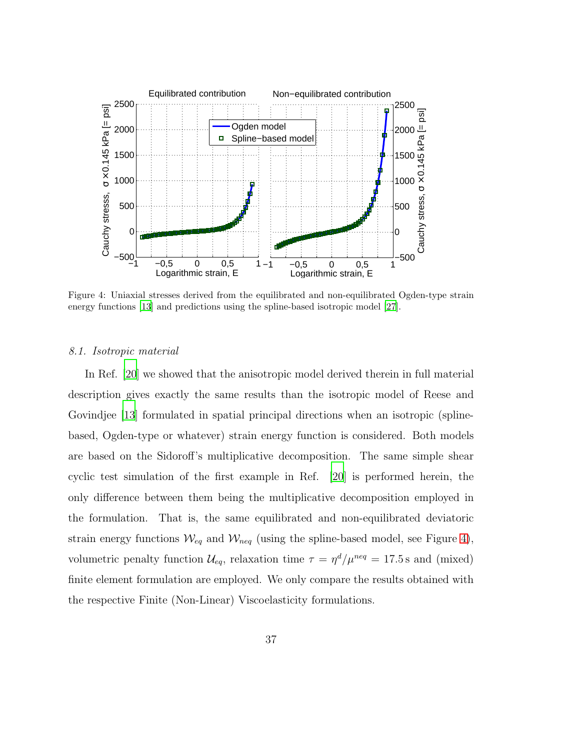

<span id="page-36-0"></span>Figure 4: Uniaxial stresses derived from the equilibrated and non-equilibrated Ogden-type strain energy functions [\[13\]](#page-49-2) and predictions using the spline-based isotropic model [\[27](#page-50-7)].

#### *8.1. Isotropic material*

In Ref. [\[20](#page-50-0)] we showed that the anisotropic model derived therein in full material description gives exactly the same results than the isotropic model of Reese and Govindjee [\[13\]](#page-49-2) formulated in spatial principal directions when an isotropic (splinebased, Ogden-type or whatever) strain energy function is considered. Both models are based on the Sidoroff's multiplicative decomposition. The same simple shear cyclic test simulation of the first example in Ref. [\[20\]](#page-50-0) is performed herein, the only difference between them being the multiplicative decomposition employed in the formulation. That is, the same equilibrated and non-equilibrated deviatoric strain energy functions  $\mathcal{W}_{eq}$  and  $\mathcal{W}_{neq}$  (using the spline-based model, see Figure [4\)](#page-36-0), volumetric penalty function  $\mathcal{U}_{eq}$ , relaxation time  $\tau = \eta^d / \mu^{neq} = 17.5$  s and (mixed) finite element formulation are employed. We only compare the results obtained with the respective Finite (Non-Linear) Viscoelasticity formulations.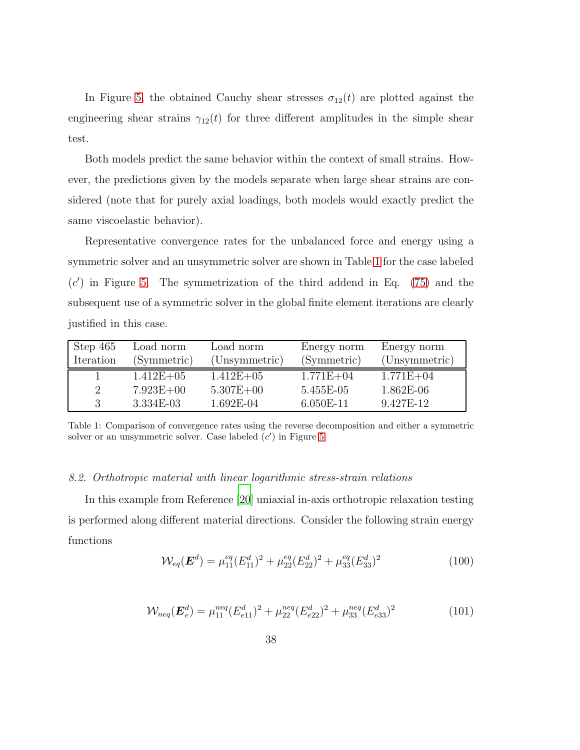In Figure [5,](#page-38-0) the obtained Cauchy shear stresses  $\sigma_{12}(t)$  are plotted against the engineering shear strains  $\gamma_{12}(t)$  for three different amplitudes in the simple shear test.

Both models predict the same behavior within the context of small strains. However, the predictions given by the models separate when large shear strains are considered (note that for purely axial loadings, both models would exactly predict the same viscoelastic behavior).

Representative convergence rates for the unbalanced force and energy using a symmetric solver and an unsymmetric solver are shown in Table [1](#page-37-0) for the case labeled  $(c')$  in Figure [5.](#page-38-0) The symmetrization of the third addend in Eq.  $(75)$  and the subsequent use of a symmetric solver in the global finite element iterations are clearly justified in this case.

| Step 465  | Load norm     | Load norm     | Energy norm   | Energy norm   |
|-----------|---------------|---------------|---------------|---------------|
| Iteration | (Symmetric)   | (Unsymmetric) | (Symmetric)   | (Unsymmetric) |
|           | $1.412E + 05$ | $1.412E + 05$ | $1.771E + 04$ | $1.771E + 04$ |
|           | $7.923E + 00$ | $5.307E + 00$ | 5.455E-05     | $1.862E-06$   |
| 3         | 3.334E-03     | 1.692E-04     | 6.050E-11     | 9.427E-12     |

<span id="page-37-0"></span>Table 1: Comparison of convergence rates using the reverse decomposition and either a symmetric solver or an unsymmetric solver. Case labeled  $(c')$  in Figure [5](#page-38-0)

## *8.2. Orthotropic material with linear logarithmic stress-strain relations*

<span id="page-37-2"></span>In this example from Reference [\[20\]](#page-50-0) uniaxial in-axis orthotropic relaxation testing is performed along different material directions. Consider the following strain energy functions

<span id="page-37-1"></span>
$$
\mathcal{W}_{eq}(\boldsymbol{E}^d) = \mu_{11}^{eq} (E_{11}^d)^2 + \mu_{22}^{eq} (E_{22}^d)^2 + \mu_{33}^{eq} (E_{33}^d)^2 \tag{100}
$$

$$
\mathcal{W}_{neq}(\boldsymbol{E}_{e}^{d}) = \mu_{11}^{neq} (E_{e11}^{d})^2 + \mu_{22}^{neq} (E_{e22}^{d})^2 + \mu_{33}^{neq} (E_{e33}^{d})^2
$$
(101)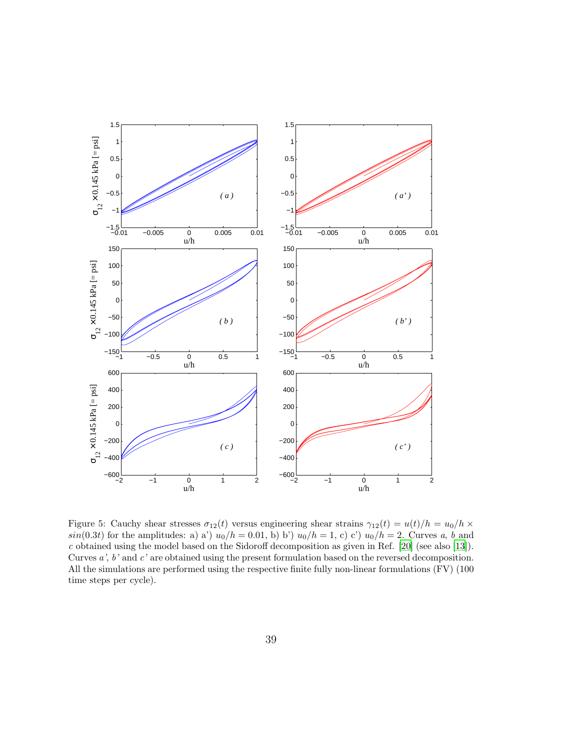

<span id="page-38-0"></span>Figure 5: Cauchy shear stresses  $\sigma_{12}(t)$  versus engineering shear strains  $\gamma_{12}(t) = u(t)/h = u_0/h \times$  $sin(0.3t)$  for the amplitudes: a) a')  $u_0/h = 0.01$ , b) b')  $u_0/h = 1$ , c) c')  $u_0/h = 2$ . Curves *a*, *b* and *c* obtained using the model based on the Sidoroff decomposition as given in Ref. [\[20\]](#page-50-0) (see also [\[13](#page-49-2)]). Curves *a'*, *b'* and *c'* are obtained using the present formulation based on the reversed decomposition. All the simulations are performed using the respective finite fully non-linear formulations (FV) (100 time steps per cycle).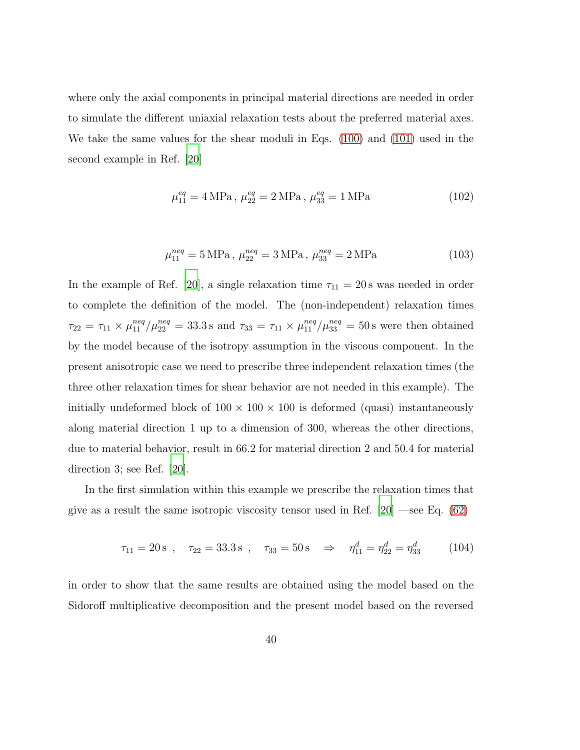where only the axial components in principal material directions are needed in order to simulate the different uniaxial relaxation tests about the preferred material axes. We take the same values for the shear moduli in Eqs. [\(100\)](#page-37-1) and [\(101\)](#page-37-2) used in the second example in Ref. [\[20](#page-50-0)]

<span id="page-39-1"></span>
$$
\mu_{11}^{eq} = 4 \text{ MPa}, \ \mu_{22}^{eq} = 2 \text{ MPa}, \ \mu_{33}^{eq} = 1 \text{ MPa}
$$
\n
$$
(102)
$$

$$
\mu_{11}^{neq} = 5 \text{ MPa}, \ \mu_{22}^{neq} = 3 \text{ MPa}, \ \mu_{33}^{neq} = 2 \text{ MPa}
$$
 (103)

<span id="page-39-2"></span>In the example of Ref. [\[20\]](#page-50-0), a single relaxation time  $\tau_{11} = 20$  s was needed in order to complete the definition of the model. The (non-independent) relaxation times  $\tau_{22} = \tau_{11} \times \mu_{11}^{neq}/\mu_{22}^{neq} = 33.3 \,\text{s}$  and  $\tau_{33} = \tau_{11} \times \mu_{11}^{neq}/\mu_{33}^{neq} = 50 \,\text{s}$  were then obtained by the model because of the isotropy assumption in the viscous component. In the present anisotropic case we need to prescribe three independent relaxation times (the three other relaxation times for shear behavior are not needed in this example). The initially undeformed block of  $100 \times 100 \times 100$  is deformed (quasi) instantaneously along material direction 1 up to a dimension of 300, whereas the other directions, due to material behavior, result in 66.2 for material direction 2 and 50.4 for material direction 3; see Ref. [\[20\]](#page-50-0).

In the first simulation within this example we prescribe the relaxation times that give as a result the same isotropic viscosity tensor used in Ref.  $[20]$  —see Eq.  $(62)$ 

<span id="page-39-0"></span>
$$
\tau_{11} = 20 \,\text{s} \ , \quad \tau_{22} = 33.3 \,\text{s} \ , \quad \tau_{33} = 50 \,\text{s} \quad \Rightarrow \quad \eta_{11}^d = \eta_{22}^d = \eta_{33}^d \tag{104}
$$

in order to show that the same results are obtained using the model based on the Sidoroff multiplicative decomposition and the present model based on the reversed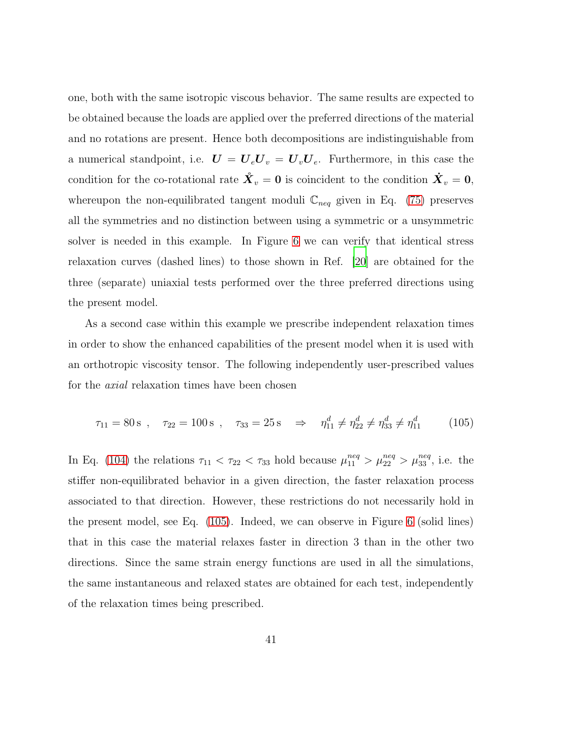one, both with the same isotropic viscous behavior. The same results are expected to be obtained because the loads are applied over the preferred directions of the material and no rotations are present. Hence both decompositions are indistinguishable from a numerical standpoint, i.e.  $\boldsymbol{U} = \boldsymbol{U}_e \boldsymbol{U}_v = \boldsymbol{U}_v \boldsymbol{U}_e$ . Furthermore, in this case the condition for the co-rotational rate  $\mathbf{\hat{X}}_v = \mathbf{0}$  is coincident to the condition  $\mathbf{\dot{X}}_v = \mathbf{0}$ , whereupon the non-equilibrated tangent moduli  $\mathbb{C}_{neq}$  given in Eq. [\(75\)](#page-28-0) preserves all the symmetries and no distinction between using a symmetric or a unsymmetric solver is needed in this example. In Figure [6](#page-41-0) we can verify that identical stress relaxation curves (dashed lines) to those shown in Ref. [\[20\]](#page-50-0) are obtained for the three (separate) uniaxial tests performed over the three preferred directions using the present model.

As a second case within this example we prescribe independent relaxation times in order to show the enhanced capabilities of the present model when it is used with an orthotropic viscosity tensor. The following independently user-prescribed values for the *axial* relaxation times have been chosen

<span id="page-40-0"></span>
$$
\tau_{11} = 80 \,\text{s} \ , \quad \tau_{22} = 100 \,\text{s} \ , \quad \tau_{33} = 25 \,\text{s} \quad \Rightarrow \quad \eta_{11}^d \neq \eta_{22}^d \neq \eta_{33}^d \neq \eta_{11}^d \tag{105}
$$

In Eq. [\(104\)](#page-39-0) the relations  $\tau_{11} < \tau_{22} < \tau_{33}$  hold because  $\mu_{11}^{neq} > \mu_{22}^{neq} > \mu_{33}^{neq}$ , i.e. the stiffer non-equilibrated behavior in a given direction, the faster relaxation process associated to that direction. However, these restrictions do not necessarily hold in the present model, see Eq. [\(105\)](#page-40-0). Indeed, we can observe in Figure [6](#page-41-0) (solid lines) that in this case the material relaxes faster in direction 3 than in the other two directions. Since the same strain energy functions are used in all the simulations, the same instantaneous and relaxed states are obtained for each test, independently of the relaxation times being prescribed.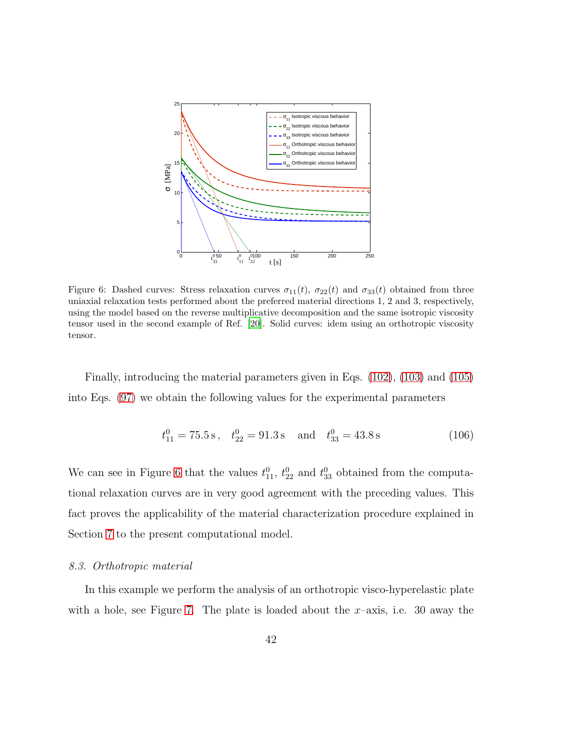

<span id="page-41-0"></span>Figure 6: Dashed curves: Stress relaxation curves  $\sigma_{11}(t)$ ,  $\sigma_{22}(t)$  and  $\sigma_{33}(t)$  obtained from three uniaxial relaxation tests performed about the preferred material directions 1, 2 and 3, respectively, using the model based on the reverse multiplicative decomposition and the same isotropic viscosity tensor used in the second example of Ref. [\[20](#page-50-0)]. Solid curves: idem using an orthotropic viscosity tensor.

Finally, introducing the material parameters given in Eqs. [\(102\)](#page-39-1), [\(103\)](#page-39-2) and [\(105\)](#page-40-0) into Eqs. [\(97\)](#page-34-1) we obtain the following values for the experimental parameters

$$
t_{11}^0 = 75.5 \text{ s}, \quad t_{22}^0 = 91.3 \text{ s} \quad \text{and} \quad t_{33}^0 = 43.8 \text{ s}
$$
 (106)

We can see in Figure [6](#page-41-0) that the values  $t_{11}^0$ ,  $t_{22}^0$  and  $t_{33}^0$  obtained from the computational relaxation curves are in very good agreement with the preceding values. This fact proves the applicability of the material characterization procedure explained in Section [7](#page-33-0) to the present computational model.

#### *8.3. Orthotropic material*

In this example we perform the analysis of an orthotropic visco-hyperelastic plate with a hole, see Figure [7.](#page-42-0) The plate is loaded about the  $x$ –axis, i.e. 30 away the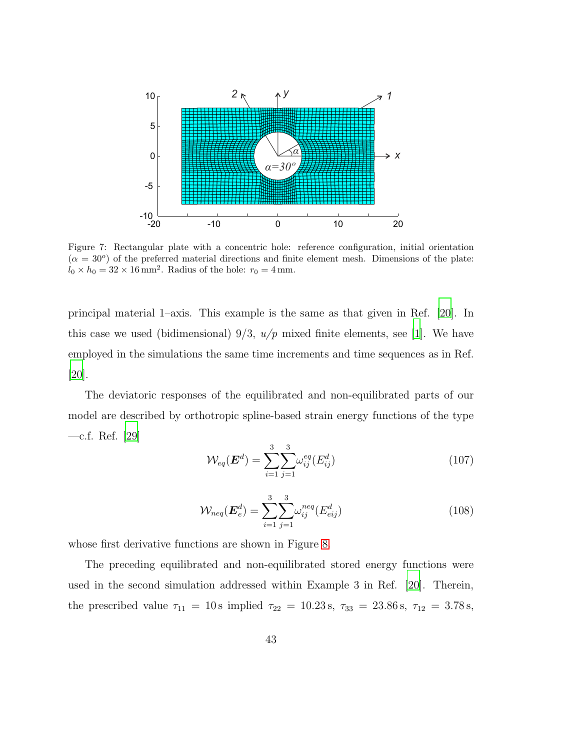

<span id="page-42-0"></span>Figure 7: Rectangular plate with a concentric hole: reference configuration, initial orientation  $(\alpha = 30^{\circ})$  of the preferred material directions and finite element mesh. Dimensions of the plate:  $l_0 \times h_0 = 32 \times 16 \,\text{mm}^2$ . Radius of the hole:  $r_0 = 4 \,\text{mm}$ .

principal material 1–axis. This example is the same as that given in Ref. [\[20](#page-50-0)]. In this case we used (bidimensional)  $9/3$ ,  $u/p$  mixed finite elements, see [\[1\]](#page-48-0). We have employed in the simulations the same time increments and time sequences as in Ref. [\[20\]](#page-50-0).

The deviatoric responses of the equilibrated and non-equilibrated parts of our model are described by orthotropic spline-based strain energy functions of the type —c.f. Ref. [\[29\]](#page-51-1)

$$
\mathcal{W}_{eq}(\boldsymbol{E}^d) = \sum_{i=1}^3 \sum_{j=1}^3 \omega_{ij}^{eq}(E_{ij}^d)
$$
 (107)

$$
\mathcal{W}_{neq}(\boldsymbol{E}_{e}^{d}) = \sum_{i=1}^{3} \sum_{j=1}^{3} \omega_{ij}^{neq} (E_{eij}^{d})
$$
\n(108)

whose first derivative functions are shown in Figure [8.](#page-43-0)

The preceding equilibrated and non-equilibrated stored energy functions were used in the second simulation addressed within Example 3 in Ref. [\[20\]](#page-50-0). Therein, the prescribed value  $\tau_{11} = 10 \,\text{s}$  implied  $\tau_{22} = 10.23 \,\text{s}$ ,  $\tau_{33} = 23.86 \,\text{s}$ ,  $\tau_{12} = 3.78 \,\text{s}$ ,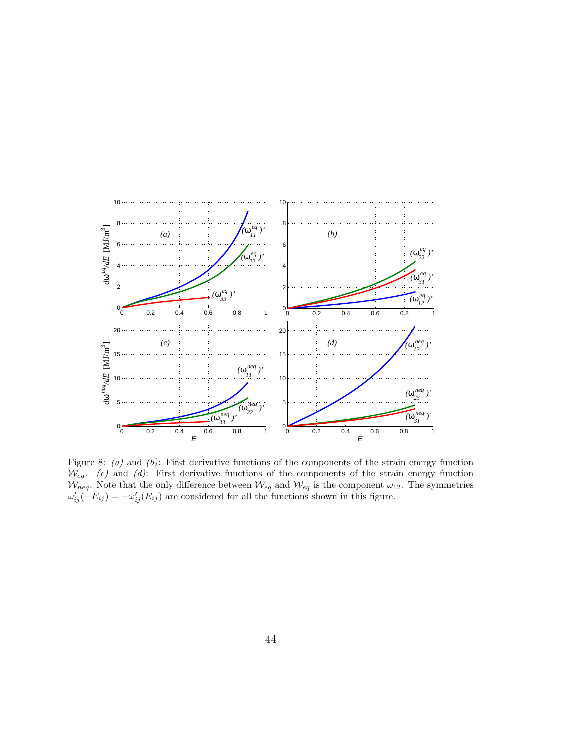

<span id="page-43-0"></span>Figure 8: *(a)* and *(b)*: First derivative functions of the components of the strain energy function Weq. *(c)* and *(d)*: First derivative functions of the components of the strain energy function  $\mathcal{W}_{neq}$ . Note that the only difference between  $\mathcal{W}_{eq}$  and  $\mathcal{W}_{eq}$  is the component  $\omega_{12}$ . The symmetries  $\omega'_{ij}(-E_{ij}) = -\omega'_{ij}(E_{ij})$  are considered for all the functions shown in this figure.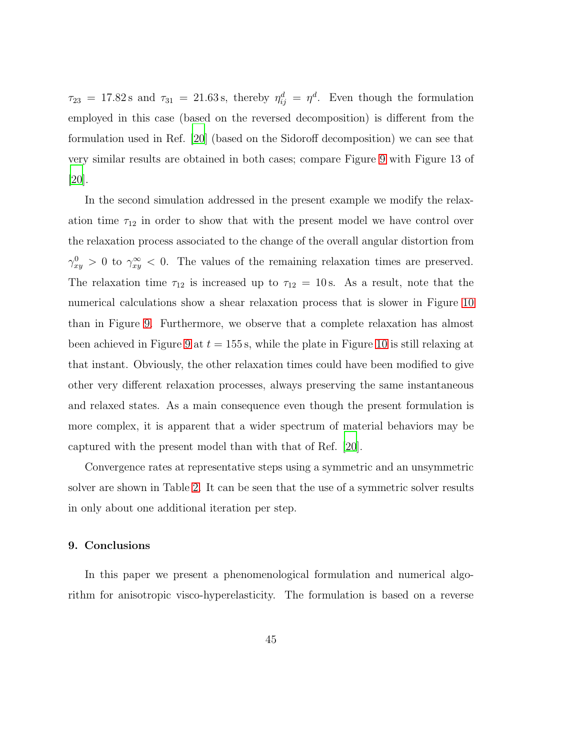$\tau_{23}$  = 17.82 s and  $\tau_{31}$  = 21.63 s, thereby  $\eta_{ij}^d = \eta^d$ . Even though the formulation employed in this case (based on the reversed decomposition) is different from the formulation used in Ref. [\[20](#page-50-0)] (based on the Sidoroff decomposition) we can see that very similar results are obtained in both cases; compare Figure [9](#page-45-0) with Figure 13 of  $|20|$ .

In the second simulation addressed in the present example we modify the relaxation time  $\tau_{12}$  in order to show that with the present model we have control over the relaxation process associated to the change of the overall angular distortion from  $\gamma_{xy}^0 > 0$  to  $\gamma_{xy}^{\infty} < 0$ . The values of the remaining relaxation times are preserved. The relaxation time  $\tau_{12}$  is increased up to  $\tau_{12} = 10$  s. As a result, note that the numerical calculations show a shear relaxation process that is slower in Figure [10](#page-46-0) than in Figure [9.](#page-45-0) Furthermore, we observe that a complete relaxation has almost been achieved in Figure [9](#page-45-0) at  $t = 155$  s, while the plate in Figure [10](#page-46-0) is still relaxing at that instant. Obviously, the other relaxation times could have been modified to give other very different relaxation processes, always preserving the same instantaneous and relaxed states. As a main consequence even though the present formulation is more complex, it is apparent that a wider spectrum of material behaviors may be captured with the present model than with that of Ref. [\[20\]](#page-50-0).

Convergence rates at representative steps using a symmetric and an unsymmetric solver are shown in Table [2.](#page-47-0) It can be seen that the use of a symmetric solver results in only about one additional iteration per step.

#### 9. Conclusions

In this paper we present a phenomenological formulation and numerical algorithm for anisotropic visco-hyperelasticity. The formulation is based on a reverse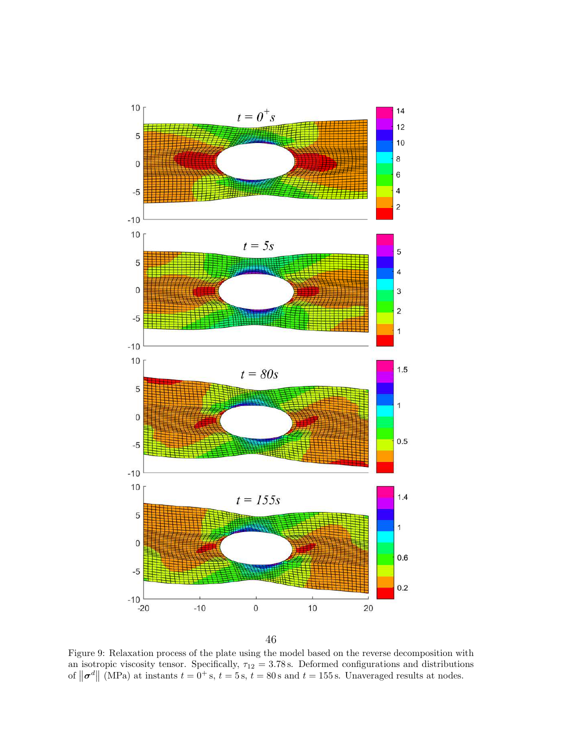

<span id="page-45-0"></span>Figure 9: Relaxation process of the plate using the model based on the reverse decomposition with an isotropic viscosity tensor. Specifically,  $\tau_{12} = 3.78 \text{ s}$ . Deformed configurations and distributions of  $\|\boldsymbol{\sigma}^d\|$  (MPa) at instants  $t = 0^+$  s,  $t = 5$  s,  $t = 80$  s and  $t = 155$  s. Unaveraged results at nodes.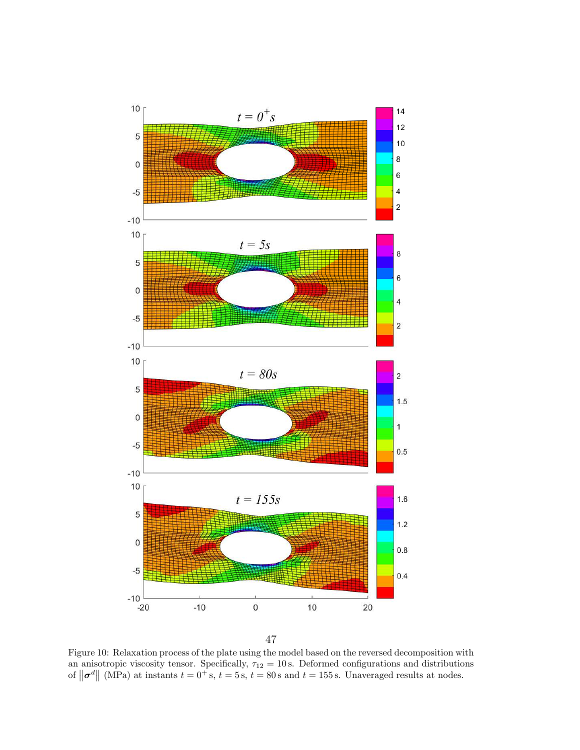

<span id="page-46-0"></span>Figure 10: Relaxation process of the plate using the model based on the reversed decomposition with an anisotropic viscosity tensor. Specifically,  $\tau_{12} = 10 \text{ s}$ . Deformed configurations and distributions of  $\|\boldsymbol{\sigma}^d\|$  (MPa) at instants  $t = 0^+$  s,  $t = 5$  s,  $t = 80$  s and  $t = 155$  s. Unaveraged results at nodes.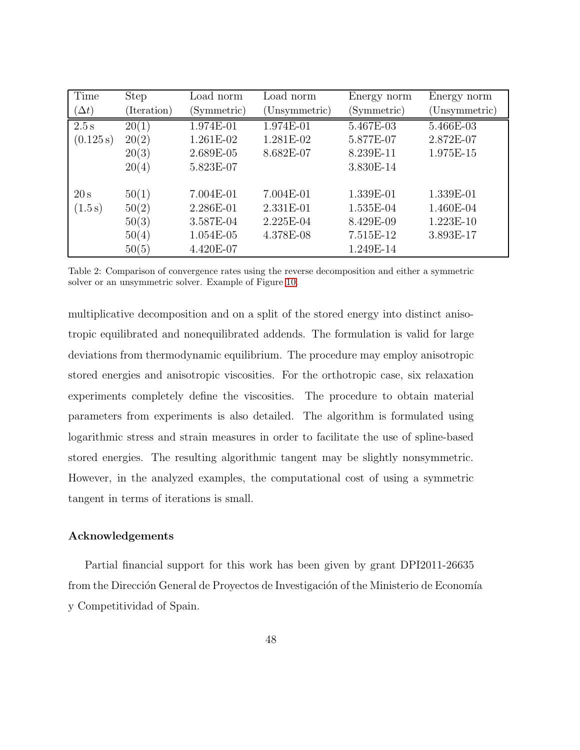| Time         | <b>Step</b> | Load norm   | Load norm     | Energy norm | Energy norm   |
|--------------|-------------|-------------|---------------|-------------|---------------|
| $(\Delta t)$ | (Iteration) | (Symmetric) | (Unsymmetric) | (Symmetric) | (Unsymmetric) |
| 2.5 s        | 20(1)       | 1.974E-01   | 1.974E-01     | 5.467E-03   | 5.466E-03     |
| (0.125 s)    | 20(2)       | 1.261E-02   | 1.281E-02     | 5.877E-07   | 2.872E-07     |
|              | 20(3)       | 2.689E-05   | 8.682E-07     | 8.239E-11   | 1.975E-15     |
|              | 20(4)       | 5.823E-07   |               | 3.830E-14   |               |
|              |             |             |               |             |               |
| 20 s         | 50(1)       | 7.004E-01   | 7.004E-01     | 1.339E-01   | 1.339E-01     |
| (1.5 s)      | 50(2)       | 2.286E-01   | 2.331E-01     | 1.535E-04   | 1.460E-04     |
|              | 50(3)       | 3.587E-04   | 2.225E-04     | 8.429E-09   | 1.223E-10     |
|              | 50(4)       | 1.054E-05   | 4.378E-08     | 7.515E-12   | 3.893E-17     |
|              | 50(5)       | 4.420E-07   |               | 1.249E-14   |               |

<span id="page-47-0"></span>Table 2: Comparison of convergence rates using the reverse decomposition and either a symmetric solver or an unsymmetric solver. Example of Figure [10.](#page-46-0)

multiplicative decomposition and on a split of the stored energy into distinct anisotropic equilibrated and nonequilibrated addends. The formulation is valid for large deviations from thermodynamic equilibrium. The procedure may employ anisotropic stored energies and anisotropic viscosities. For the orthotropic case, six relaxation experiments completely define the viscosities. The procedure to obtain material parameters from experiments is also detailed. The algorithm is formulated using logarithmic stress and strain measures in order to facilitate the use of spline-based stored energies. The resulting algorithmic tangent may be slightly nonsymmetric. However, in the analyzed examples, the computational cost of using a symmetric tangent in terms of iterations is small.

# Acknowledgements

Partial financial support for this work has been given by grant DPI2011-26635 from the Dirección General de Proyectos de Investigación of the Ministerio de Economía y Competitividad of Spain.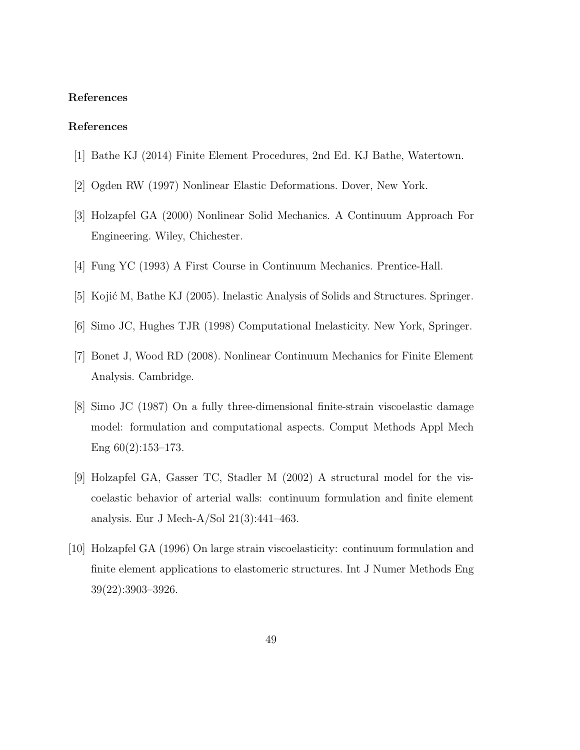#### References

# References

- <span id="page-48-0"></span>[1] Bathe KJ (2014) Finite Element Procedures, 2nd Ed. KJ Bathe, Watertown.
- <span id="page-48-1"></span>[2] Ogden RW (1997) Nonlinear Elastic Deformations. Dover, New York.
- <span id="page-48-2"></span>[3] Holzapfel GA (2000) Nonlinear Solid Mechanics. A Continuum Approach For Engineering. Wiley, Chichester.
- <span id="page-48-3"></span>[4] Fung YC (1993) A First Course in Continuum Mechanics. Prentice-Hall.
- <span id="page-48-4"></span>[5] Kojić M, Bathe KJ (2005). Inelastic Analysis of Solids and Structures. Springer.
- <span id="page-48-5"></span>[6] Simo JC, Hughes TJR (1998) Computational Inelasticity. New York, Springer.
- <span id="page-48-6"></span>[7] Bonet J, Wood RD (2008). Nonlinear Continuum Mechanics for Finite Element Analysis. Cambridge.
- <span id="page-48-7"></span>[8] Simo JC (1987) On a fully three-dimensional finite-strain viscoelastic damage model: formulation and computational aspects. Comput Methods Appl Mech Eng 60(2):153–173.
- <span id="page-48-8"></span>[9] Holzapfel GA, Gasser TC, Stadler M (2002) A structural model for the viscoelastic behavior of arterial walls: continuum formulation and finite element analysis. Eur J Mech-A/Sol 21(3):441–463.
- <span id="page-48-9"></span>[10] Holzapfel GA (1996) On large strain viscoelasticity: continuum formulation and finite element applications to elastomeric structures. Int J Numer Methods Eng 39(22):3903–3926.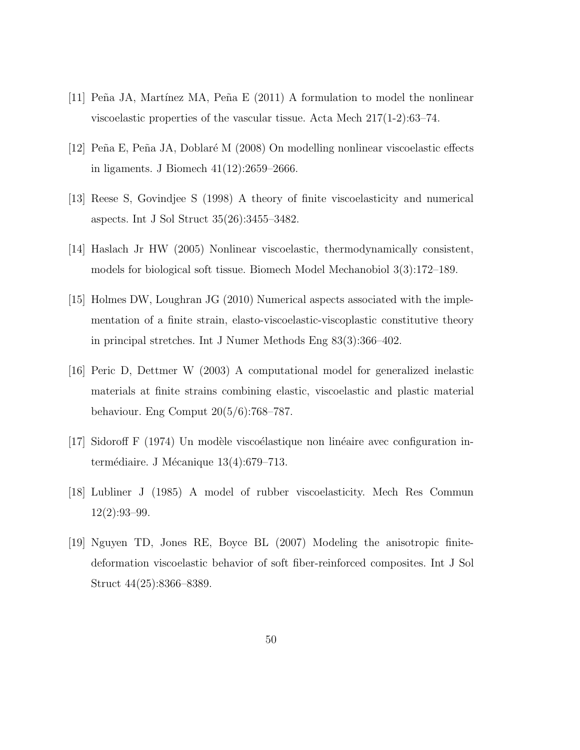- <span id="page-49-0"></span>[11] Peña JA, Martínez MA, Peña E  $(2011)$  A formulation to model the nonlinear viscoelastic properties of the vascular tissue. Acta Mech 217(1-2):63–74.
- <span id="page-49-1"></span>[12] Peña E, Peña JA, Doblaré M (2008) On modelling nonlinear viscoelastic effects in ligaments. J Biomech 41(12):2659–2666.
- <span id="page-49-2"></span>[13] Reese S, Govindjee S (1998) A theory of finite viscoelasticity and numerical aspects. Int J Sol Struct 35(26):3455–3482.
- <span id="page-49-3"></span>[14] Haslach Jr HW (2005) Nonlinear viscoelastic, thermodynamically consistent, models for biological soft tissue. Biomech Model Mechanobiol 3(3):172–189.
- <span id="page-49-4"></span>[15] Holmes DW, Loughran JG (2010) Numerical aspects associated with the implementation of a finite strain, elasto-viscoelastic-viscoplastic constitutive theory in principal stretches. Int J Numer Methods Eng 83(3):366–402.
- <span id="page-49-5"></span>[16] Peric D, Dettmer W (2003) A computational model for generalized inelastic materials at finite strains combining elastic, viscoelastic and plastic material behaviour. Eng Comput 20(5/6):768–787.
- <span id="page-49-6"></span>[17] Sidoroff F (1974) Un modèle viscoélastique non linéaire avec configuration intermédiaire. J Mécanique  $13(4):679-713$ .
- <span id="page-49-7"></span>[18] Lubliner J (1985) A model of rubber viscoelasticity. Mech Res Commun  $12(2):93-99.$
- <span id="page-49-8"></span>[19] Nguyen TD, Jones RE, Boyce BL (2007) Modeling the anisotropic finitedeformation viscoelastic behavior of soft fiber-reinforced composites. Int J Sol Struct 44(25):8366–8389.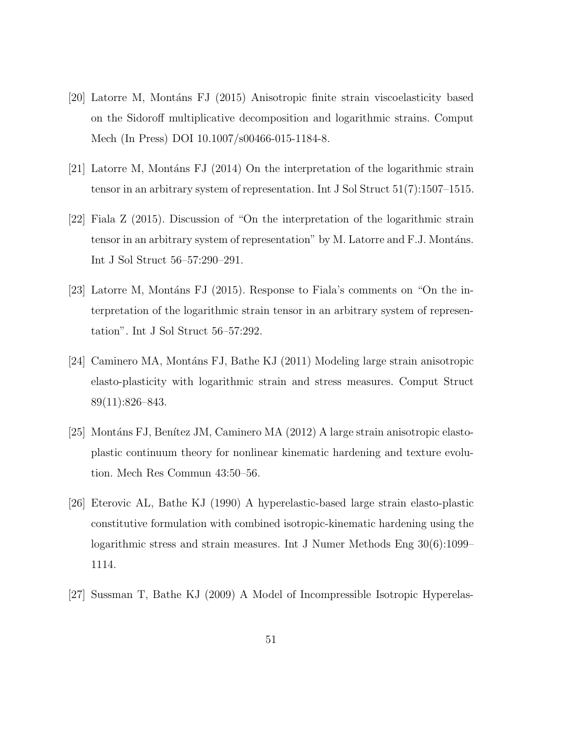- <span id="page-50-0"></span>[20] Latorre M, Montáns FJ (2015) Anisotropic finite strain viscoelasticity based on the Sidoroff multiplicative decomposition and logarithmic strains. Comput Mech (In Press) DOI 10.1007/s00466-015-1184-8.
- <span id="page-50-1"></span>[21] Latorre M, Montáns FJ (2014) On the interpretation of the logarithmic strain tensor in an arbitrary system of representation. Int J Sol Struct 51(7):1507–1515.
- <span id="page-50-2"></span>[22] Fiala Z (2015). Discussion of "On the interpretation of the logarithmic strain tensor in an arbitrary system of representation" by M. Latorre and F.J. Montáns. Int J Sol Struct 56–57:290–291.
- <span id="page-50-3"></span>[23] Latorre M, Montáns FJ (2015). Response to Fiala's comments on "On the interpretation of the logarithmic strain tensor in an arbitrary system of representation". Int J Sol Struct 56–57:292.
- <span id="page-50-5"></span>[24] Caminero MA, Mont´ans FJ, Bathe KJ (2011) Modeling large strain anisotropic elasto-plasticity with logarithmic strain and stress measures. Comput Struct 89(11):826–843.
- <span id="page-50-6"></span>[25] Montáns FJ, Benítez JM, Caminero MA (2012) A large strain anisotropic elastoplastic continuum theory for nonlinear kinematic hardening and texture evolution. Mech Res Commun 43:50–56.
- <span id="page-50-4"></span>[26] Eterovic AL, Bathe KJ (1990) A hyperelastic-based large strain elasto-plastic constitutive formulation with combined isotropic-kinematic hardening using the logarithmic stress and strain measures. Int J Numer Methods Eng 30(6):1099– 1114.
- <span id="page-50-7"></span>[27] Sussman T, Bathe KJ (2009) A Model of Incompressible Isotropic Hyperelas-